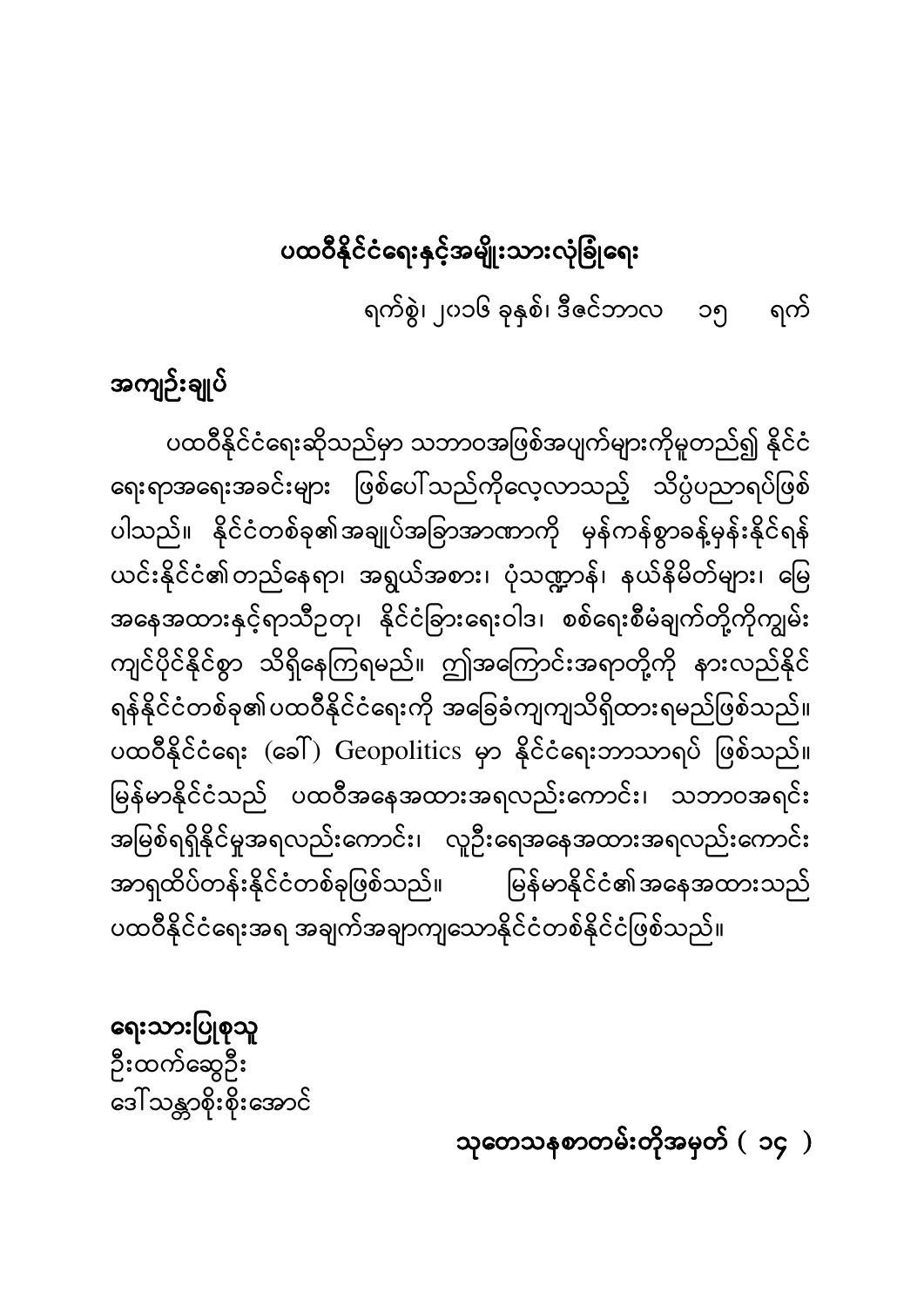သုတေသနစာတမ်းတိုအမှတ် ( ၁၄ )

ရေးသားပြုစုသူ ဉီးထက်ဆွေဦး ဒေါ်သန္တာစိုးစိုးအောင်

ပထဝီနိုင်ငံရေးဆိုသည်မှာ သဘာဝအဖြစ်အပျက်များကိုမူတည်၍ နိုင်ငံ ရေးရာအရေးအခင်းများ ဖြစ်ပေါ်သည်ကိုလေ့လာသည့် သိပ္ပံပညာရပ်ဖြစ် ပါသည်။ နိုင်ငံတစ်ခု၏အချုပ်အခြာအာဏာကို မှန်ကန်စွာခန့်မှန်းနိုင်ရန် ယင်းနိုင်ငံ၏တည်နေရာ၊ အရွယ်အစား၊ ပုံသဏ္ဍာန်၊ နယ်နိမိတ်များ၊ မြေ အနေအထားနှင့်ရာသီဉတု၊ နိုင်ငံခြားရေးဝါဒ၊ စစ်ရေးစီမံချက်တို့ကိုကျွမ်း ကျင်ပိုင်နိုင်စွာ သိရှိနေကြရမည်။ ဤအကြောင်းအရာတို့ကို နားလည်နိုင် ရန်နိုင်ငံတစ်ခု၏ပထဝီနိုင်ငံရေးကို အခြေခံကျကျသိရှိထားရမည်ဖြစ်သည်။ ပထဝီနိုင်ငံရေး (ခေါ်) Geopolitics မှာ နိုင်ငံရေးဘာသာရပ် ဖြစ်သည်။ မြန်မာနိုင်ငံသည် ပထဝီအနေအထားအရလည်းကောင်း၊ သဘာဝအရင်း ĺ အမြစ်ရရှိနိုင်မှုအရလည်းကောင်း၊ လူဦးရေအနေအထားအရလည်းကောင်း အာရှထိပ်တန်းနိုင်ငံတစ်ခုဖြစ်သည်။ မြန်မာနိုင်ငံ၏အနေအထားသည် ပထဝီနိုင်ငံရေးအရ အချက်အချာကျသောနိုင်ငံတစ်နိုင်ငံဖြစ်သည်။

အကျဉ်းချုပ်

ပထဝီနိုင်ငံရေးနှင့်အမျိုးသားလုံခြုံရေး ရက်စွဲ၊ ၂၀၁၆ ခုနှစ်၊ ဒီဇင်ဘာလ ၁၅ ရက်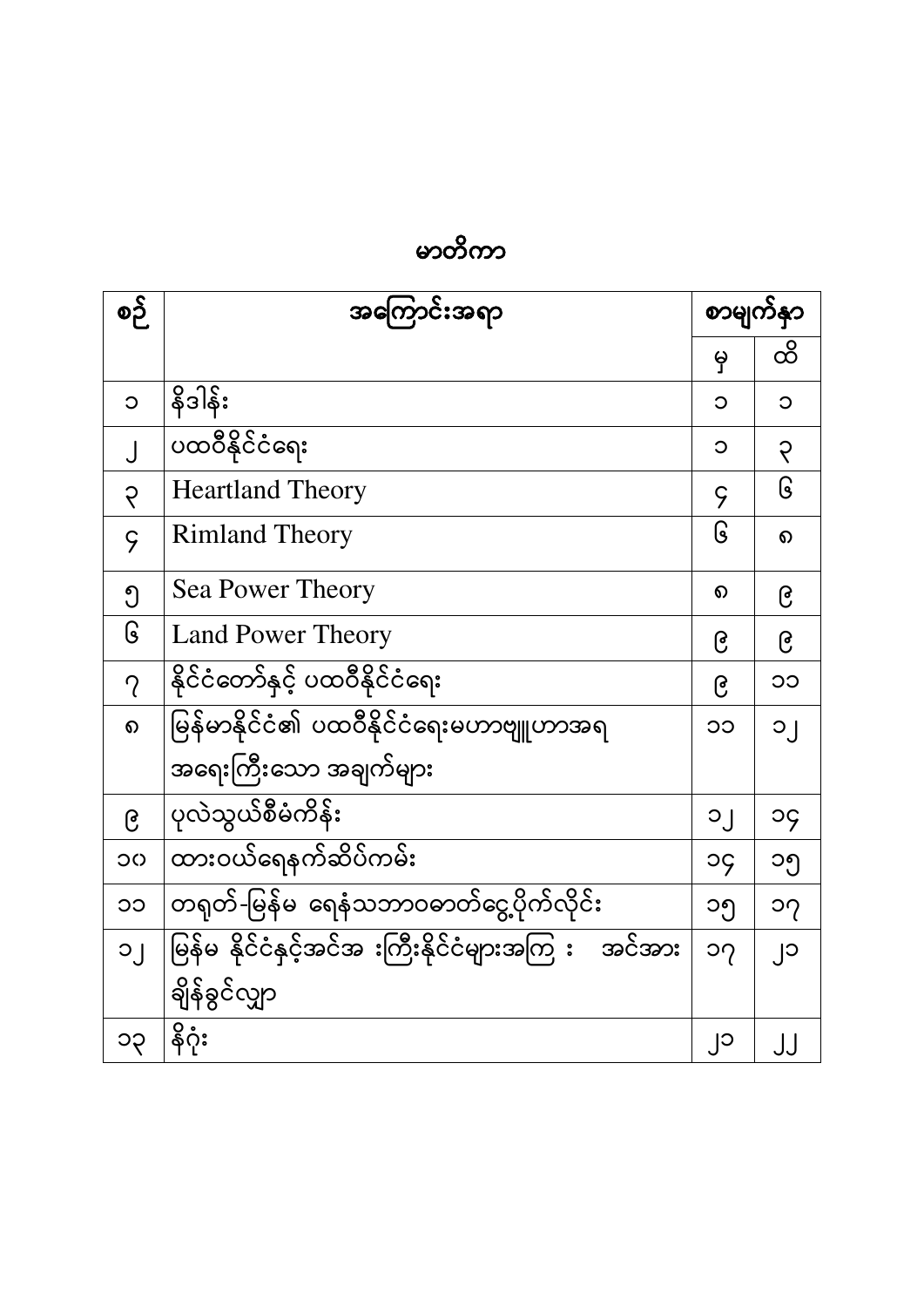| စဉ်            | အကြောင်းအရာ                                           | စာမျက်နှာ                  |        |
|----------------|-------------------------------------------------------|----------------------------|--------|
|                |                                                       | မှ                         | ထိ     |
| $\circ$        | နိဒါန်း                                               | C                          | Э      |
|                | ပထဝီနိုင်ငံရေး                                        | C                          | ၃      |
| $\varsigma$    | <b>Heartland Theory</b>                               | $\varsigma$                | ၆      |
| $\varsigma$    | <b>Rimland Theory</b>                                 | ၆                          | ର      |
| ၅              | <b>Sea Power Theory</b>                               | ၈                          | ၉      |
| ၆              | <b>Land Power Theory</b>                              | ၉                          | ၉      |
| $\gamma$       | နိုင်ငံတော်နှင့် ပထဝီနိုင်ငံရေး                       | ၉                          | ၁၁     |
| $\Omega$       | မြန်မာနိုင်ငံ၏ ပထဝီနိုင်ငံရေးမဟာဗျူဟာအရ               | ၁၁                         | ၁၂     |
|                | အရေးကြီးသော အချက်များ                                 |                            |        |
| ၉              | ပုလဲသွယ်စီမံကိန်း                                     | ၁၂                         | ၁၄     |
| OC             | ထားဝယ်ရေနက်ဆိပ်ကမ်း                                   | ၁၄                         | ၁၅     |
| CC             | တရုတ်-မြန်မ ရေနံသဘာဝဓာတ်ငွေ့ပိုက်လိုင်း               | ၁၅                         | ၁၇     |
| $\overline{O}$ | မြန်မ နိုင်ငံနှင့်အင်အ းကြီးနိုင်ငံများအကြ း   အင်အား | $\mathcal{O}(\mathcal{O})$ | $Cl_1$ |
|                | ချိန်ခွင်လျှာ                                         |                            |        |
| ၁၃             | နိဂုံး                                                | ၂၁                         |        |

မာတိကာ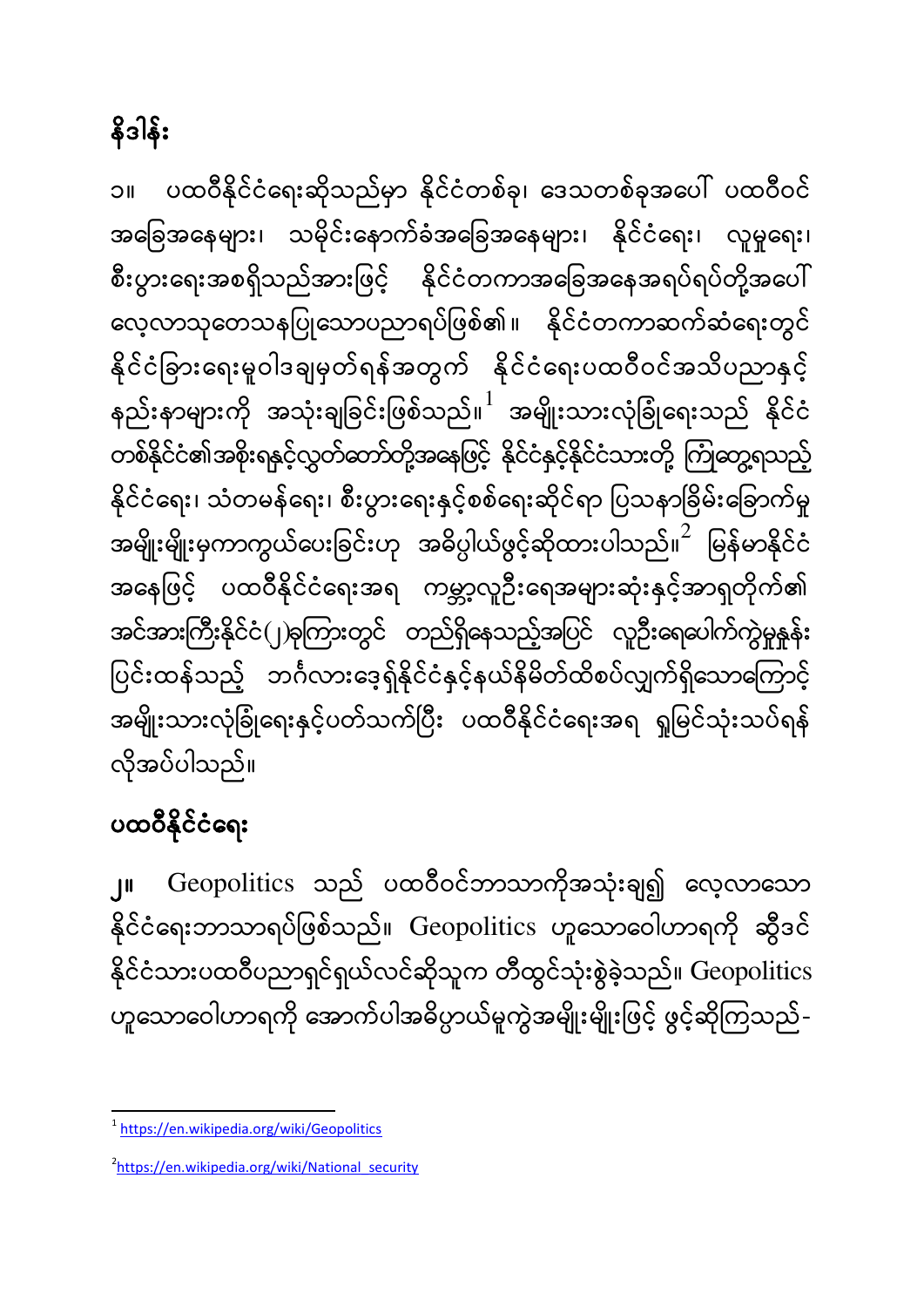## နိဒါန်း

၁။ ပထဝီနိုင်ငံရေးဆိုသည်မှာ နိုင်ငံတစ်ခု၊ ဒေသတစ်ခုအပေါ် ပထဝီဝင် အခြေအနေများ၊ သမိုင်းနောက်ခံအခြေအနေများ၊ နိုင်ငံရေး၊ လူမှုရေး၊ စီးပွားရေးအစရှိသည်အားဖြင့် နိုင်ငံတကာအခြေအနေအရပ်ရပ်တို့အပေါ် လေ့လာသုတေသနပြုသောပညာရပ်ဖြစ်၏။ နိုင်ငံတကာဆက်ဆံရေးတွင် နိုင်ငံခြားရေးမူဝါဒချမှတ်ရန်အတွက် နိုင်ငံရေးပထဝီဝင်အသိပညာနှင့် နည်းနာများကို အသုံးချခြင်းဖြစ်သည်။ $^1$  အမျိုးသားလုံခြုံရေးသည် နိုင်ငံ တစ်နိုင်ငံ၏အစိုးရနှင့်လွှတ်တော်တို့အနေဖြင့် နိုင်ငံနှင့်နိုင်ငံသားတို့ ကြုံတွေ့ရသည့် နိုင်ငံရေး၊ သံတမန်ရေး၊ စီးပွားရေးနှင့်စစ်ရေးဆိုင်ရာ ပြသနာခြိမ်းခြောက်မှု အမျိုးမျိုးမှကာကွယ်ပေးခြင်းဟု အဓိပ္ပါယ်ဖွင့်ဆိုထားပါသည်။ $^2$  မြန်မာနိုင်ငံ ĺ အနေဖြင့် ပထဝီနိုင်ငံရေးအရ ကမ္ဘာ့လူဦးရေအများဆုံးနှင့်အာရှတိုက်၏ အင်အားကြီးနိုင်ငံ(၂)ခုကြားတွင် တည်ရှိနေသည့်အပြင် လူဦးရေပေါက်ကွဲမှုနူန်း ပြင်းထန်သည့် ဘင်္ဂလားဒေ့ရှ်နိုင်ငံနှင့်နယ်နိမိတ်ထိစပ်လျှက်ရှိသောကြောင့် ĺ အမျိုးသားလုံခြုံရေးနှင့်ပတ်သက်ပြီး ပထဝီနိုင်ငံရေးအရ ရှုမြင်သုံးသပ်ရန် လိုအပ်ပါသည်။

### ပထဝီနိုင်ငံရေး

1

၂။ Geopolitics သည် ပထဝီဝင်ဘာသာကိုအသုံးချ၍ လေ့လာသော နိုင်ငံရေးဘာသာရပ်ဖြစ်သည်။ Geopolitics ဟူသောဝေါဟာရကို ဆွီဒင် နိုင်ငံသားပထဝီပညာရှင်ရှယ်လင်ဆိုသူက တီထွင်သုံးစွဲခဲ့သည်။ Geopolitics ဟူသောဝေါဟာရကို အောက်ပါအဓိပ္ပာယ်မူကွဲအမျိုးမျိုးဖြင့် ဖွင့်ဆိုကြသည်-

<sup>&</sup>lt;sup>1</sup> <https://en.wikipedia.org/wiki/Geopolitics>

<sup>&</sup>lt;sup>2</sup>[https://en.wikipedia.org/wiki/National\\_security](https://en.wikipedia.org/wiki/National_security)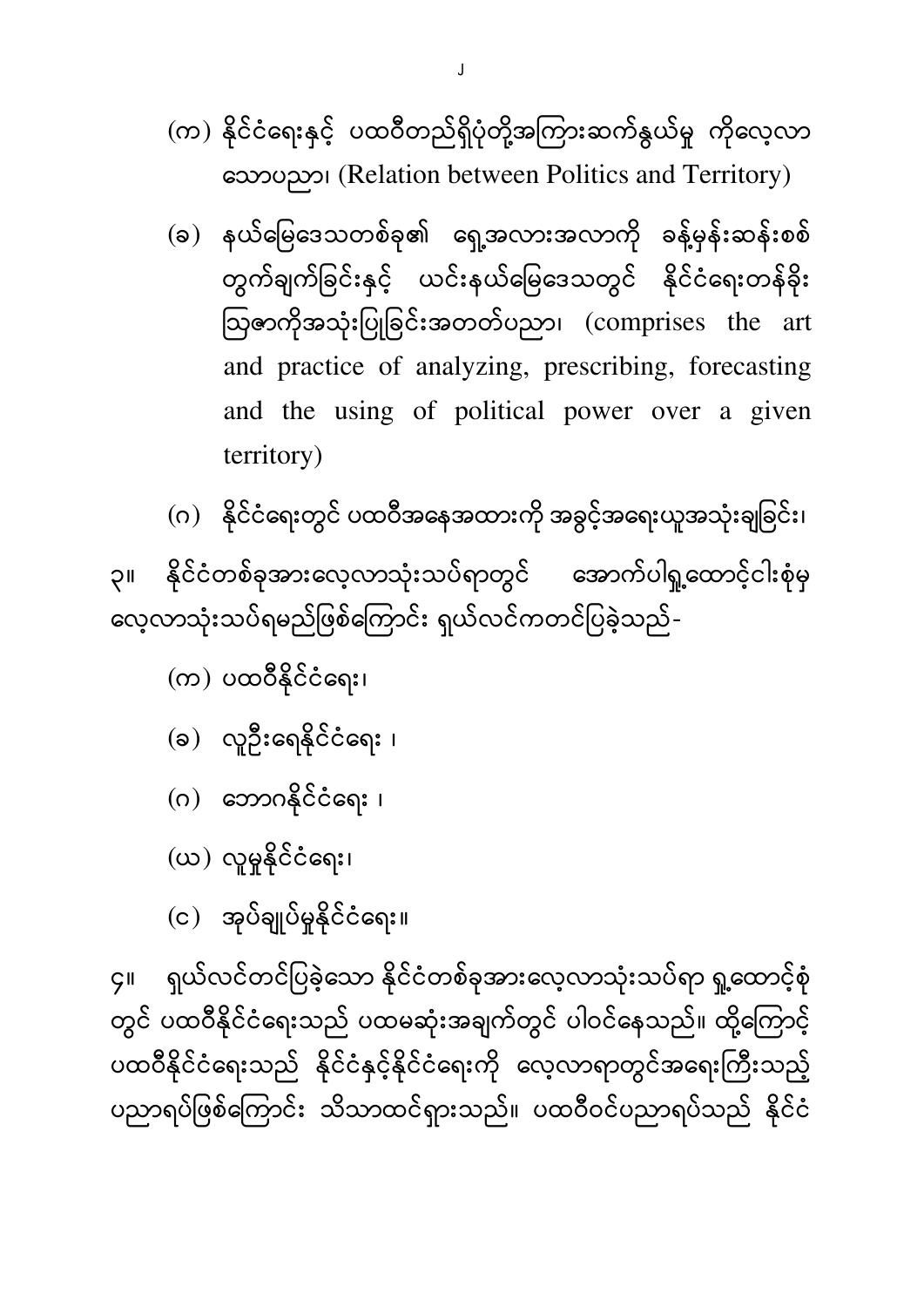(က) နိုင်ငံရေးနှင့် ပထဝီတည်ရှိပုံတို့အကြားဆက်နွယ်မှု ကိုလေ့လာ (Relation between Politics and Territory)

- (ခ) နယ်မြေဒေသတစ်ခု၏ ရှေ့အလားအလာကို ခန့်မှန်းဆန်းစစ် တွက်ချက်ခြင်းနှင့် ယင်းနယ်မြေဒေသတွင် နိုင်ငံရေးတန်ခိုး ဩဇာကိုအသုံးပြုခြင်းအတတ်ပညာ၊ (comprises the art and practice of analyzing, prescribing, forecasting and the using of political power over a given territory)
- (ဂ) နိုင်ငံရေးတွင် ပထဝီအနေအထားကို အခွင့်အရေးယူအသုံးချခြင်း၊

၃။ နိုင်ငံတစ်ခုအားလေ့လာသုံးသပ်ရာတွင် အောက်ပါရှု့ထောင့်ငါးစုံမှ လေ့လာသုံးသပ်ရမည်ဖြစ်ကြောင်း ရှယ်လင်ကတင်ပြခဲ့သည်-

 $($ က) ပထဝီနိုင်ငံရေး၊

- (ခ) လူဦးရေနိုင်ငံရေး ၊
- $( 0 )$  ဘောဂနိုင်ငံရေး ၊
- (ယ) လူမှုနိုင်ငံရေး၊
- (င) အုပ်ချုပ်မှုနိုင်ငံရေး။

၄။ ရယ်လင်တင်ပြခဲ့သော နိုင်ငံတစ်ခုအားလေ့လာသုံးသပ်ရာ ရူထောင့်စုံ တွင် ပထဝီနိုင်ငံရေးသည် ပထမဆုံးအချက်တွင် ပါဝင်နေသည်။ ထို့ကြောင့် ပထဝီနိုင်ငံရေးသည် နိုင်ငံနှင့်နိုင်ငံရေးကို လေ့လာရာတွင်အရေးကြီးသည့် ပညာရပ်ဖြစ်ကြောင်း သိသာထင်ရှားသည်။ ပထဝီဝင်ပညာရပ်သည် နိုင်ငံ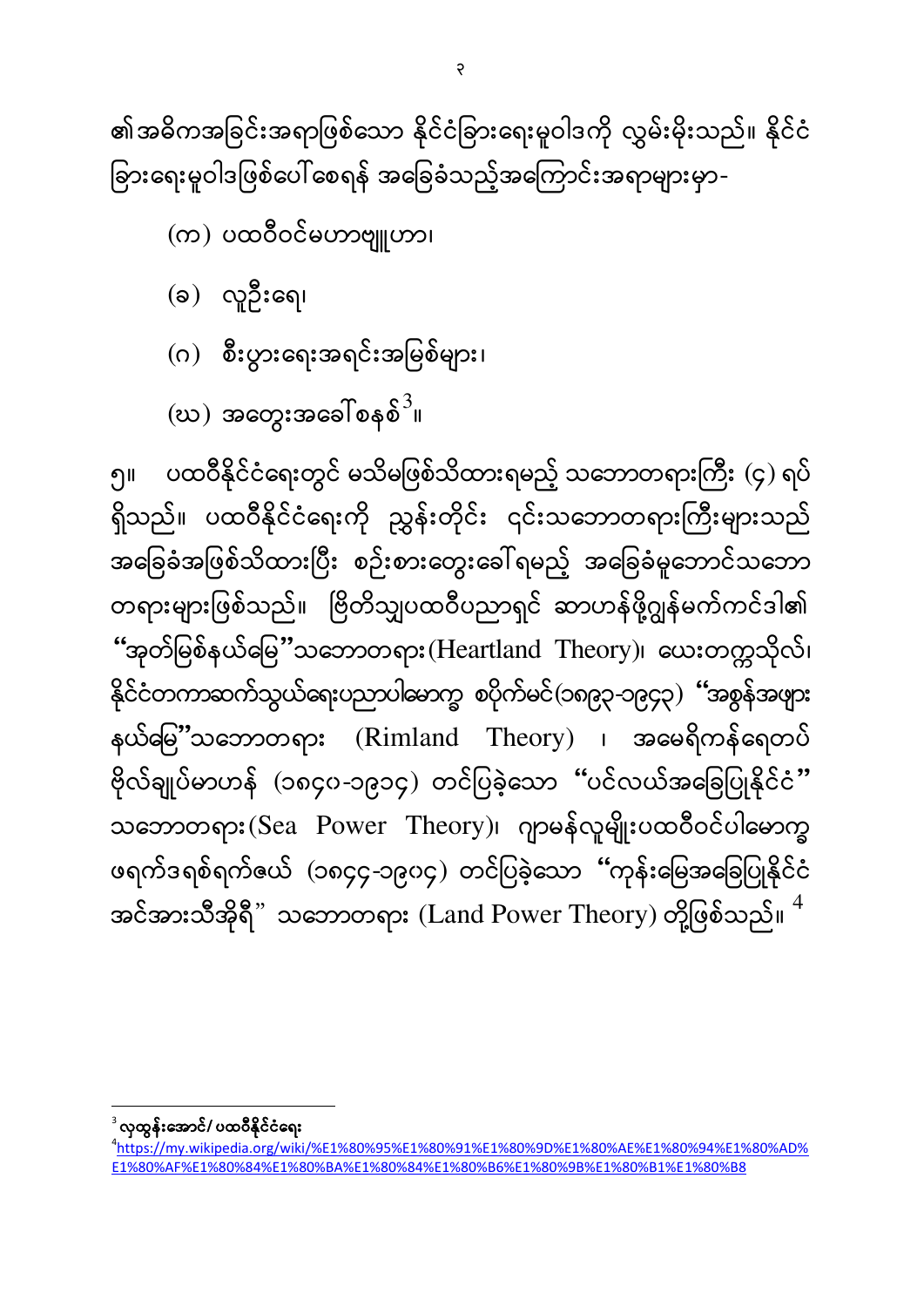၅။ ပထဝီနိုင်ငံရေးတွင် မသိမဖြစ်သိထားရမည့် သဘောတရားကြီး (၄) ရပ် ရှိသည်။ ပထဝီနိုင်ငံရေးကို ညွှန်းတိုင်း ၎င်းသဘောတရားကြီးများသည် အခြေခံအဖြစ်သိထားပြီး စဉ်းစားတွေးခေါ်ရမည့် အခြေခံမူဘောင်သဘော တရားများဖြစ်သည်။ ဗြိတိသျှပထဝီပညာရှင် ဆာဟန်ဖို့ဂျွန်မက်ကင်ဒါ၏  $``$ အုတ်မြစ်နယ်မြေ $''$ သဘောတရား $( {\rm Heartland \ \ Theory})$ ၊ နိုင်ငံတကာဆက်သွယ်ရေးပညာပါမောက္ခ စပိုက်မင်(၁၈၉၃-၁၉၄၃) "အစွန်အဖျား နယ်မြမိ့'သဘောတရား (Rimland Theory) ၊ ဗိုလ်ချုပ်မာဟန် (၁၈၄၀-၁၉၁၄) တင်ပြခဲ့သော "ပင်လယ်အခြေပြုနိုင်ငံ" သဘောတရား(Sea Power Theory)၊ ဂျာမန်လူမျိုးပထဝီဝင်ပါမောက္ခ ဖရက်ဒရစ်ရက်ဇယ် (၁၈၄၄-၁၉၀၄) တင်ပြခဲ့သော "ကုန်းမြေအခြေပြုနိုင်ငံ အင်အားသီအိုရီ" သဘောတရား (Land Power Theory) တို့ဖြစ်သည်။  $^4$ 

- (ဃ) အတွေးအခေါ်စနစ် $^3$ ။
- (ဂ) စီးပွားရေးအရင်းအမြစ်များ၊
- $(a)$  လူဦးရေ၊

(က) ပထဝီဝင်မဟာဗျူဟာ၊

၏အဓိကအခြင်းအရာဖြစ်သော နိုင်ငံခြားရေးမူဝါဒကို လွှမ်းမိုးသည်။ နိုင်ငံ ခြားရေးမူဝါဒဖြစ်ပေါ် စေရန် အခြေခံသည့်အကြောင်းအရာများမှာ-

 $\overline{\phantom{a}}$ လှထွန်းအောင်/ ပထဝီနိုင်ငံရေး

<sup>4</sup> [https://my.wikipedia.org/wiki/%E1%80%95%E1%80%91%E1%80%9D%E1%80%AE%E1%80%94%E1%80%AD%](https://my.wikipedia.org/wiki/%E1%80%95%E1%80%91%E1%80%9D%E1%80%AE%E1%80%94%E1%80%AD%E1%80%AF%E1%80%84%E1%80%BA%E1%80%84%E1%80%B6%E1%80%9B%E1%80%B1%E1%80%B8) [E1%80%AF%E1%80%84%E1%80%BA%E1%80%84%E1%80%B6%E1%80%9B%E1%80%B1%E1%80%B8](https://my.wikipedia.org/wiki/%E1%80%95%E1%80%91%E1%80%9D%E1%80%AE%E1%80%94%E1%80%AD%E1%80%AF%E1%80%84%E1%80%BA%E1%80%84%E1%80%B6%E1%80%9B%E1%80%B1%E1%80%B8)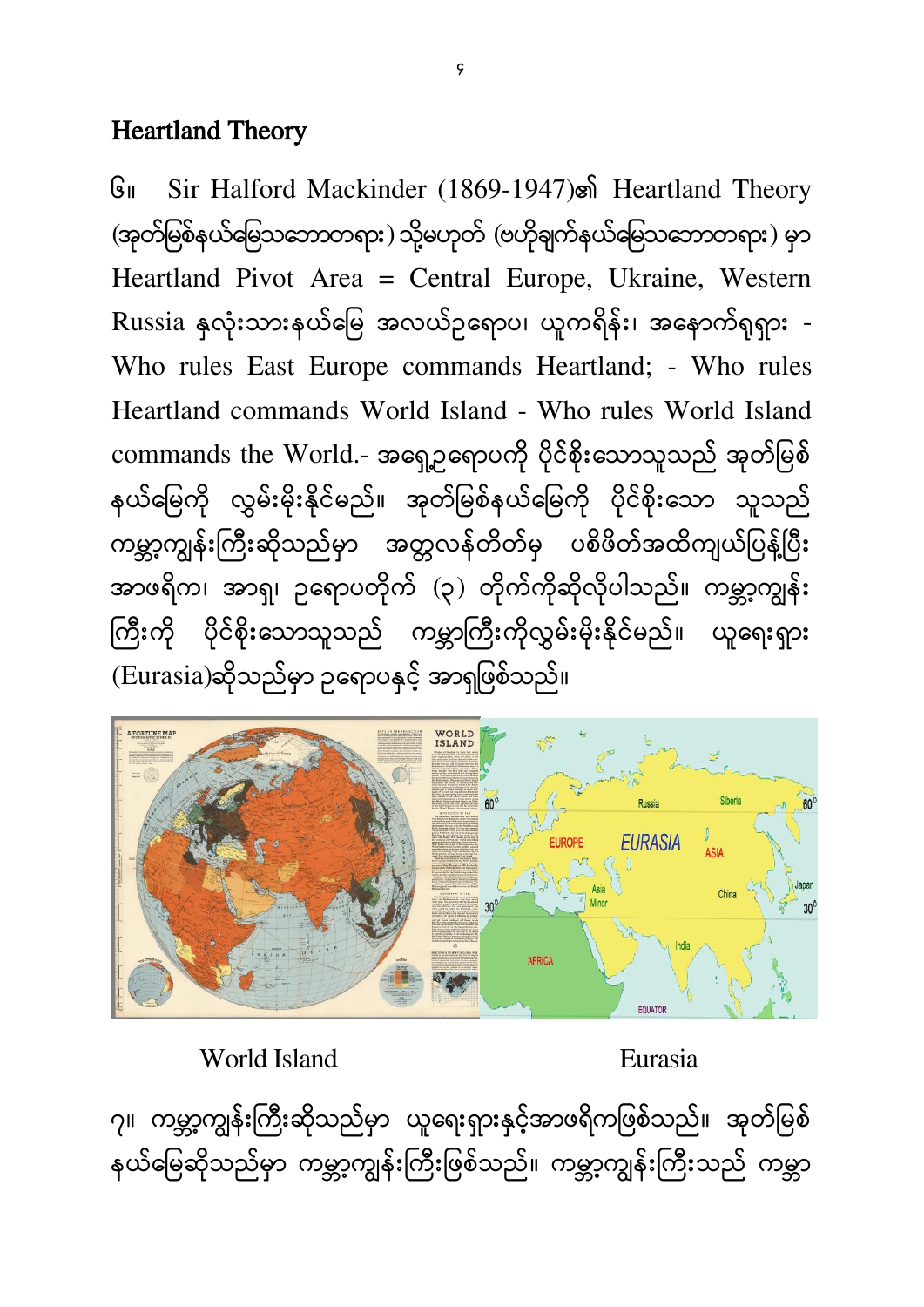#### Heartland Theory

၆။ Sir Halford Mackinder (1869-1947) Heartland Theory (အုတ်မြစ်နယ်မြေသဘောတရား) သို့မဟုတ် (ဗဟိုချက်နယ်မြေသဘောတရား) မှာ Heartland Pivot Area = Central Europe, Ukraine, Western Russia နှလုံးသားနယ်မြေ အလယ်ဥရောပ၊ ယူကရိန်း၊ အနောက်ရုရှား -Who rules East Europe commands Heartland; - Who rules Heartland commands World Island - Who rules World Island commands the World.- အရှေ့ာရောပကို ပိုင်စိုးသောသူသည် အုတ်မြစ် နယ်မြေကို လွှမ်းမိုးနိုင်မည်။ အုတ်မြစ်နယ်မြေကို ပိုင်စိုးသော သူသည် ကမ္ဘာ့ကျွန်းကြီးဆိုသည်မှာ အတ္တလန်တိတ်မှ ပစိဖိတ်အထိကျယ်ပြန့်ပြီး အာဖရိက၊ အာရှ၊ ဥရောပတိုက် (၃) တိုက်ကိုဆိုလိုပါသည်။ ကမ္ဘာ့ကျွန်း ကြီးကို ပိုင်စိုးသောသူသည် ကမ္ဘာကြီးကိုလွှမ်းမိုးနိုင်မည်။ ယူရေးရှား (Eurasia)ဆိုသည်မှာ ဥရောပနှင့် အာရှဖြစ်သည်။



World Island **Eurasia** 

၇။ ကမ္ဘာ့ကျွန်းကြီးဆိုသည်မှာ ယူရေးရှားနှင့်အာဖရိကဖြစ်သည်။ အုတ်မြစ် နယ်မြေဆိုသည်မှာ ကမ္ဘာ့ကျွန်းကြီးဖြစ်သည်။ ကမ္ဘာ့ကျွန်းကြီးသည် ကမ္ဘာ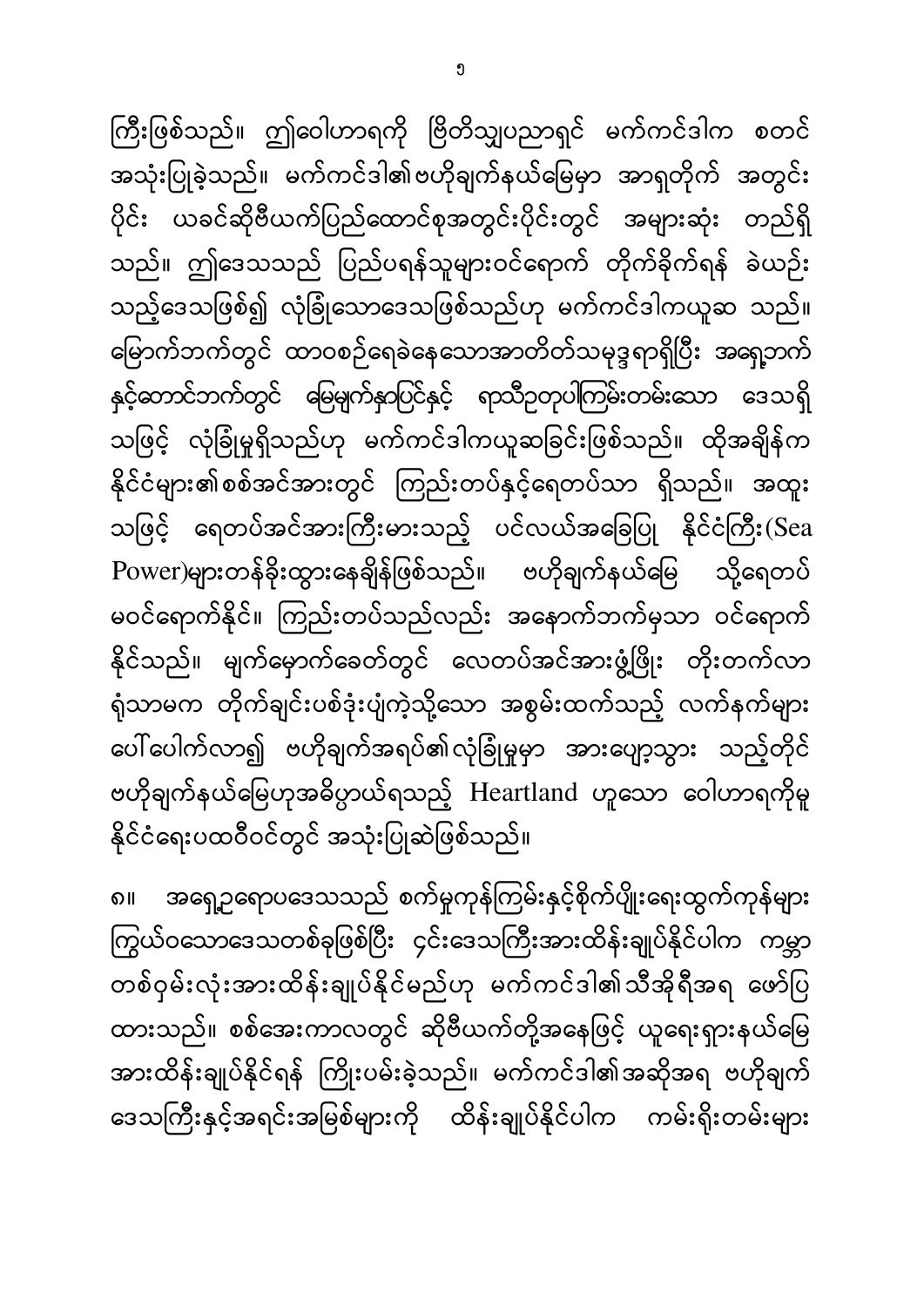ကြီးဖြစ်သည်။ ဤဝေါဟာရကို ဗြိတိသျှပညာရှင် မက်ကင်ဒါက စတင် အသုံးပြုခဲ့သည်။ မက်ကင်ဒါ၏ဗဟိုချက်နယ်မြေမှာ အာရှတိုက် အတွင်း ပိုင်း ယခင်ဆိုဗီယက်ပြည်ထောင်စုအတွင်းပိုင်းတွင် အများဆုံး တည်ရှိ သည်။ ဤဒေသသည် ပြည်ပရန်သူများဝင်ရောက် တိုက်ခိုက်ရန် ခဲယဉ်း သည့်ဒေသဖြစ်၍ လုံခြုံသောဒေသဖြစ်သည်ဟု မက်ကင်ဒါကယူဆ သည်။ မြောက်ဘက်တွင် ထာဝစဉ်ရေခဲနေသောအာတိတ်သမုဒ္ဒရာရှိပြီး အရှေ့ဘက် နှင့်တောင်ဘက်တွင် မြေမျက်နှာပြင်နှင့် ရာသီဉတုပါကြမ်းတမ်းသော ဒေသရှိ သဖြင့် လုံခြုံမှုရှိသည်ဟု မက်ကင်ဒါကယူဆခြင်းဖြစ်သည်။ ထိုအချိန်က နိုင်ငံများ၏စစ်အင်အားတွင် ကြည်းတပ်နှင့်ရေတပ်သာ ရှိသည်။ အထူး သဖြင့် ရေတပ်အင်အားကြီးမားသည့် ပင်လယ်အခြေပြု နိုင်ငံကြီး(Sea Power)များတန်ခိုးထွားနေချိန်ဖြစ်သည်။ ဗဟိုချက်နယ်မြေ သို့ရေတပ် မဝင်ရောက်နိုင်။ ကြည်းတပ်သည်လည်း အနောက်ဘက်မှသာ ဝင်ရောက် နိုင်သည်။ မျက်မှောက်ခေတ်တွင် လေတပ်အင်အားဖွံ့ဖြိုး တိုးတက်လာ ရုံသာမက တိုက်ချင်းပစ်ဒုံးပျံကဲ့သို့သော အစွမ်းထက်သည့် လက်နက်များ ပေါ် ပေါက်လာ၍ ဗဟိုချက်အရပ်၏လုံခြုံမှုမှာ အားပျော့သွား သည့်တိုင် ဗဟိုချက်နယ်မြေဟုအဓိပ္ပာယ်ရသည့် Heartland ဟူသော ဝေါဟာရကိုမူ နိုင်ငံရေးပထဝီဝင်တွင် အသုံးပြုဆဲဖြစ်သည်။

၈။ အရှေ့ဥရောပဒေသသည် စက်မှုကုန်ကြမ်းနှင့်စိုက်ပျိုးရေးထွက်ကုန်များ ကြွယ်ဝသောဒေသတစ်ခုဖြစ်ပြီး ၄င်းဒေသကြီးအားထိန်းချုပ်နိုင်ပါက ကမ္ဘာ တစ်ဝှမ်းလုံးအားထိန်းချုပ်နိုင်မည်ဟု မက်ကင်ဒါ၏သီအိုရီအရ ဖော်ပြ ထားသည်။ စစ်အေးကာလတွင် ဆိုဗီယက်တို့အနေဖြင့် ယူရေးရှားနယ်မြေ အားထိန်းချုပ်နိုင်ရန် ကြိုးပမ်းခဲ့သည်။ မက်ကင်ဒါ၏အဆိုအရ ဗဟိုချက် ဒေသကြီးနှင့်အရင်းအမြစ်များကို ထိန်းချုပ်နိုင်ပါက ကမ်းရိုးတမ်းများ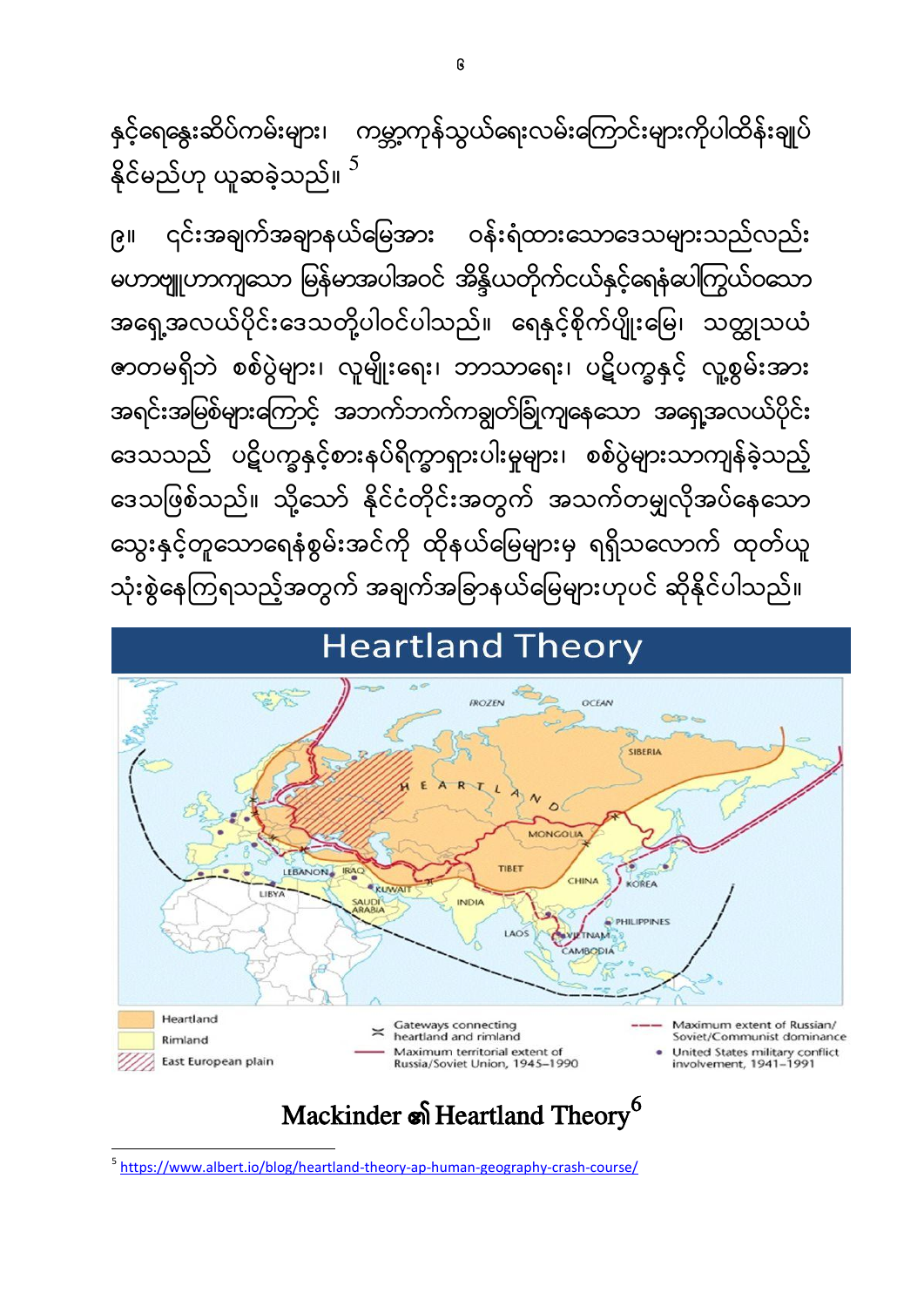$\overline{\phantom{a}}$ <sup>5</sup> <https://www.albert.io/blog/heartland-theory-ap-human-geography-crash-course/>

### Mackinder **s** Heartland Theory<sup>6</sup>



### **Heartland Theory**

၉။ ၎င်းအချက်အချာနယ်မြေအား ဝန်းရံထားသောဒေသများသည်လည်း မဟာဗျူဟာကျသော မြန်မာအပါအဝင် အိန္ဒိယတိုက်ငယ်နှင့်ရေနံပေါကြွယ်ဝသော အရှေ့အလယ်ပိုင်းဒေသတို့ပါဝင်ပါသည်။ ရေနှင့်စိုက်ပျိုးမြေ၊ သတ္ထုသယံ ဇာတမရှိဘဲ စစ်ပွဲများ၊ လူမျိုးရေး၊ ဘာသာရေး၊ ပဋိပက္ခနှင့် လူ့စွမ်းအား အရင်းအမြစ်များကြောင့် အဘက်ဘက်ကချွတ်ခြုံကျနေသော အရှေ့အလယ်ပိုင်း ဒေသသည် ပဋိပက္ခနှင့်စားနပ်ရိက္ခာရှားပါးမှုများ၊ စစ်ပွဲများသာကျန်ခဲ့သည့် ဒေသဖြစ်သည်။ သို့သော် နိုင်ငံတိုင်းအတွက် အသက်တမျှလိုအပ်နေသော သွေးနှင့်တူသောရေနံစွမ်းအင်ကို ထိုနယ်မြေများမှ ရရှိသလောက် ထုတ်ယူ သုံးစွဲနေကြရသည့်အတွက် အချက်အခြာနယ်မြေများဟုပင် ဆိုနိုင်ပါသည်။

နှင့်ရေနွေးဆိပ်ကမ်းများ၊ ကမ္ဘာ့ကုန်သွယ်ရေးလမ်းကြောင်းများကိုပါထိန်းချုပ် နိုင်မည်ဟု ယူဆခဲ့သည်။  $^5$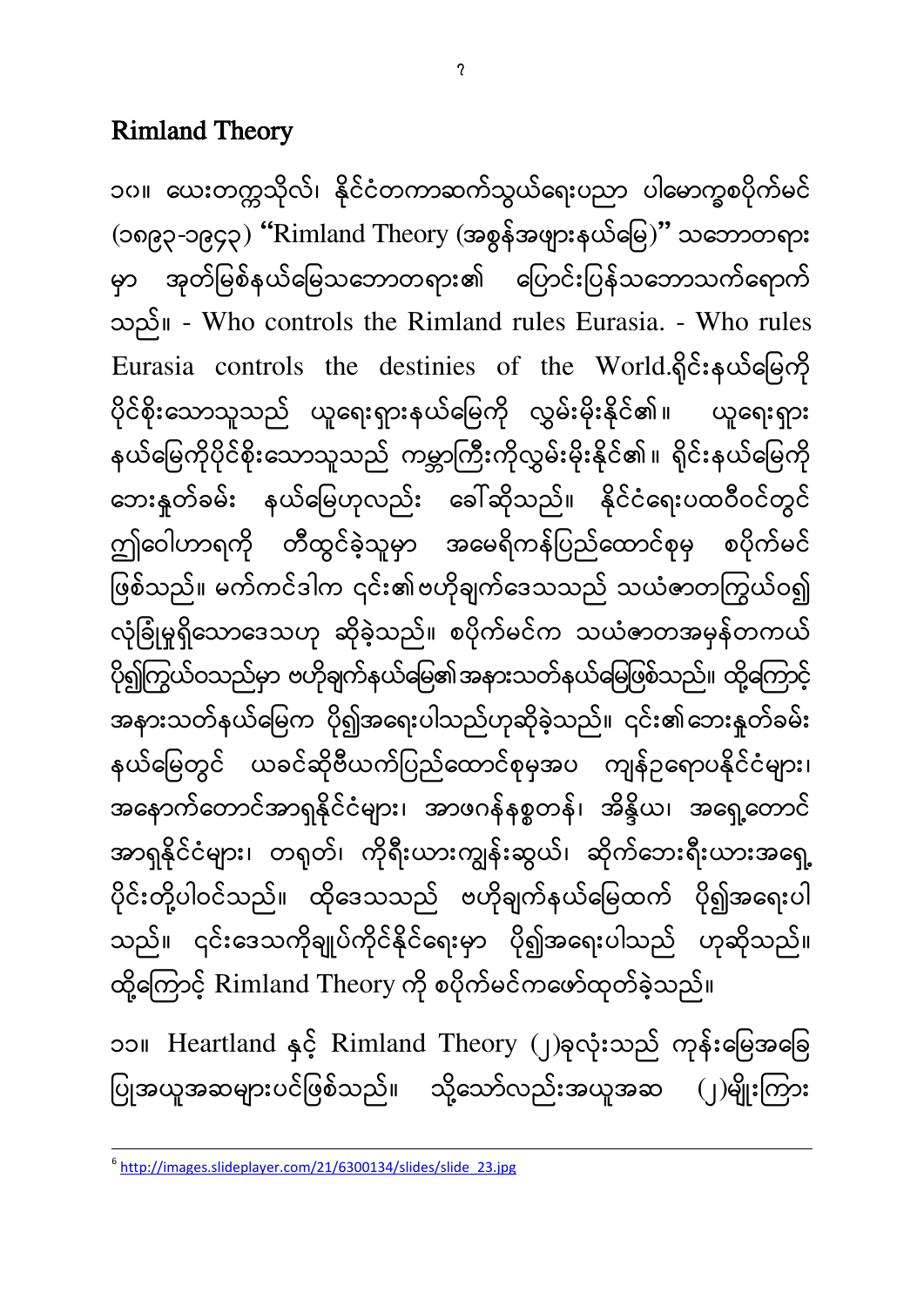#### Rimland Theory

၁၀။ ယေးတက္ကသိုလ်၊ နိုင်ငံတကာဆက်သွယ်ရေးပညာ ပါမောက္ခစပိုက်မင်  $($ ၁၈၉၃-၁၉၄၃ $)$  "Rimland Theory  $($ အစွန်အဖျားနယ်မြေ $)$ " သဘောတရား မှာ အုတ်မြစ်နယ်မြေသဘောတရား၏ ပြောင်းပြန်သဘောသက်ရောက် ။ - Who controls the Rimland rules Eurasia. - Who rules Eurasia controls the destinies of the World.ရှိုင်းနယ်မြေကို ပိုင်စိုးသောသူသည် ယူရေးရှားနယ်မြေကို လွှမ်းမိုးနိုင်၏။ ယူရေးရှား နယ်မြေကိုပိုင်စိုးသောသူသည် ကမ္ဘာကြီးကိုလွှမ်းမိုးနိုင်၏။ ရိုင်းနယ်မြေကို ဘေးနုတ်ခမ်း နယ်မြေဟုလည်း ခေါ်ဆိုသည်။ နိုင်ငံရေးပထဝီဝင်တွင် ဤဝေါဟာရကို တီထွင်ခဲ့သူမှာ အမေရိကန်ပြည်ထောင်စုမှ စပိုက်မင် ဖြစ်သည်။ မက်ကင်ဒါက ၎င်း၏ဗဟိုချက်ဒေသသည် သယံဇာတကြွယ်ဝ၍ လုံခြုံမှုရှိသောဒေသဟု ဆိုခဲ့သည်။ စပိုက်မင်က သယံဇာတအမှန်တကယ် ပို၍ကြွယ်ဝသည်မှာ ဗဟိုချက်နယ်မြေ၏အနားသတ်နယ်မြေဖြစ်သည်။ ထို့ကြောင့် အနားသတ်နယ်မြေက ပို၍အရေးပါသည်ဟုဆိုခဲ့သည်။ ၎င်း၏ဘေးနုတ်ခမ်း နယ်မြေတွင် ယခင်ဆိုဗီယက်ပြည်ထောင်စုမှအပ ကျန်ဉရောပနိုင်ငံများ၊ အနောက်တောင်အာရှနိုင်ငံများ၊ အာဖဂန်နစ္စတန်၊ အိန္ဒိယ၊ အရှေ့တောင် အာရှနိုင်ငံများ၊ တရုတ်၊ ကိုရီးယားကျွန်းဆွယ်၊ ဆိုက်ဘေးရီးယားအရှေ့ ပိုင်းတို့ပါဝင်သည်။ ထိုဒေသသည် ဗဟိုချက်နယ်မြေထက် ပို၍အရေးပါ သည်။ ၎င်းဒေသကိုချုပ်ကိုင်နိုင်ရေးမှာ ပို၍အရေးပါသည် ဟုဆိုသည်။ ထို့ကြောင့် Rimland Theory ကို စပိုက်မင်ကဖော်ထုတ်ခဲ့သည်။ ၁၁။ Heartland နှင့် Rimland Theory (၂)ခုလုံးသည် ကုန်းမြေအခြေ ပြုအယူအဆများပင်ဖြစ်သည်။ သို့သော်လည်းအယူအဆ (၂)မျိုးကြား

 $\overline{\phantom{a}}$ <sup>6</sup> [http://images.slideplayer.com/21/6300134/slides/slide\\_23.jpg](http://images.slideplayer.com/21/6300134/slides/slide_23.jpg)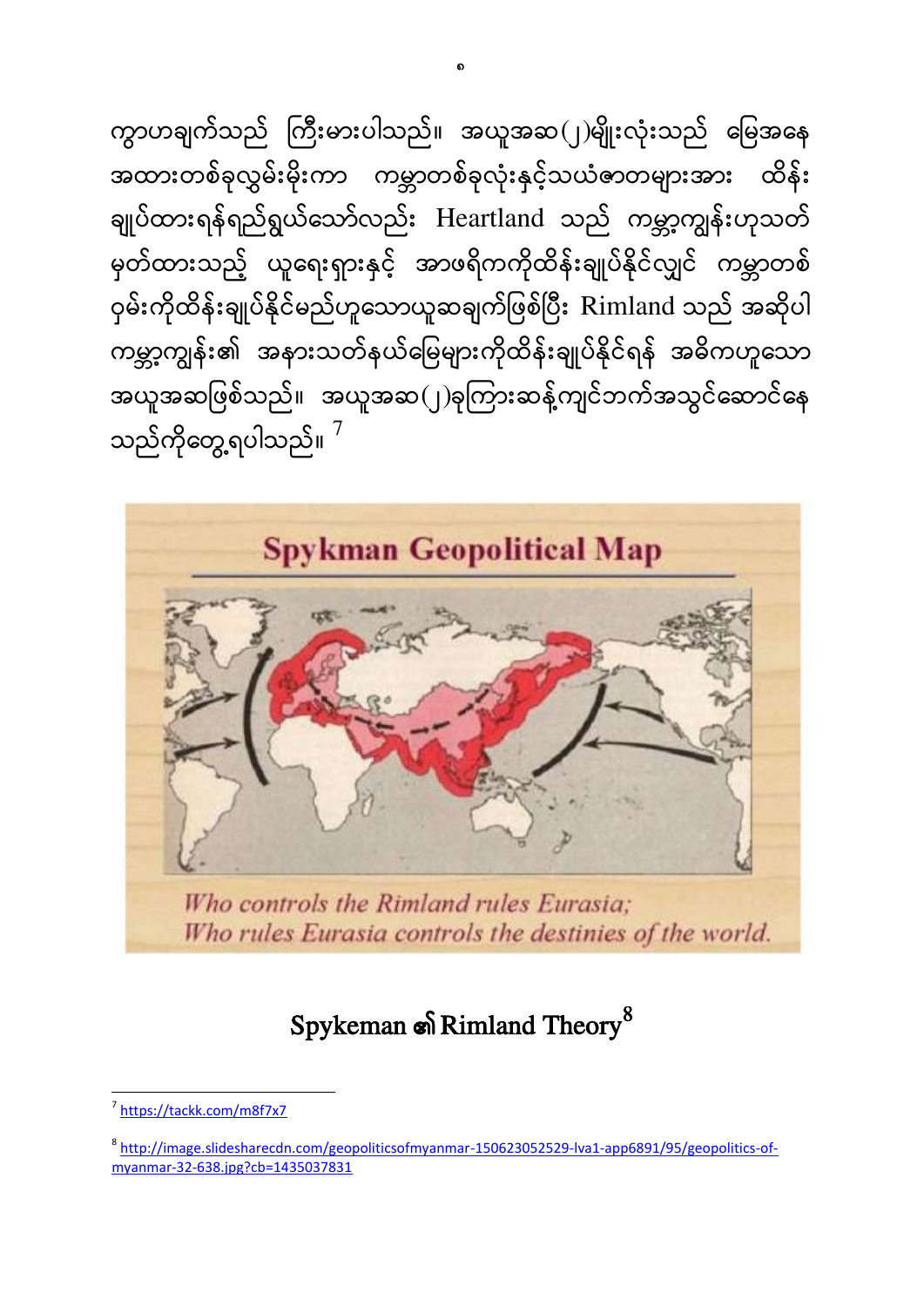ကွာဟချက်သည် ကြီးမားပါသည်။ အယူအဆ $(\,|\,)\,$ မျိုးလုံးသည် မြေအနေ အထားတစ်ခုလွှမ်းမိုးကာ ကမ္ဘာတစ်ခုလုံးနှင့်သယံဓာတများအား ထိန်း ချုပ်ထားရန်ရည်ရွယ်သော်လည်း Heartland သည် ကမ္ဘာ့ကျွန်းဟုသတ် မှတ်ထားသည့် ယူရေးရှားနှင့် အာဖရိကကိုထိန်းချုပ်နိုင်လျှင် ကမ္ဘာတစ် ဝှမ်းကိုထိန်းချုပ်နိုင်မည်ဟူသောယူဆချက်ဖြစ်ပြီး Rimland သည် အဆိုပါ ကမ္ဘာ့ကျွန်း၏ အနားသတ်နယ်မြေများကိုထိန်းချုပ်နိုင်ရန် အဓိကဟူသော အယူအဆဖြစ်သည်။ အယူအဆ $(\,$ ၂)ခုကြားဆန့်ကျင်ဘက်အသွင်ဆောင်နေ သည်ကိုတွေ့ရပါသည်။  $^7$ 



### Spykeman  $\mathbf{s}$  Rimland Theory<sup>8</sup>

<sup>7&</sup>lt;br>7 <https://tackk.com/m8f7x7>

<sup>&</sup>lt;sup>8</sup> [http://image.slidesharecdn.com/geopoliticsofmyanmar-150623052529-lva1-app6891/95/geopolitics-of](http://image.slidesharecdn.com/geopoliticsofmyanmar-150623052529-lva1-app6891/95/geopolitics-of-myanmar-32-638.jpg?cb=1435037831)[myanmar-32-638.jpg?cb=1435037831](http://image.slidesharecdn.com/geopoliticsofmyanmar-150623052529-lva1-app6891/95/geopolitics-of-myanmar-32-638.jpg?cb=1435037831)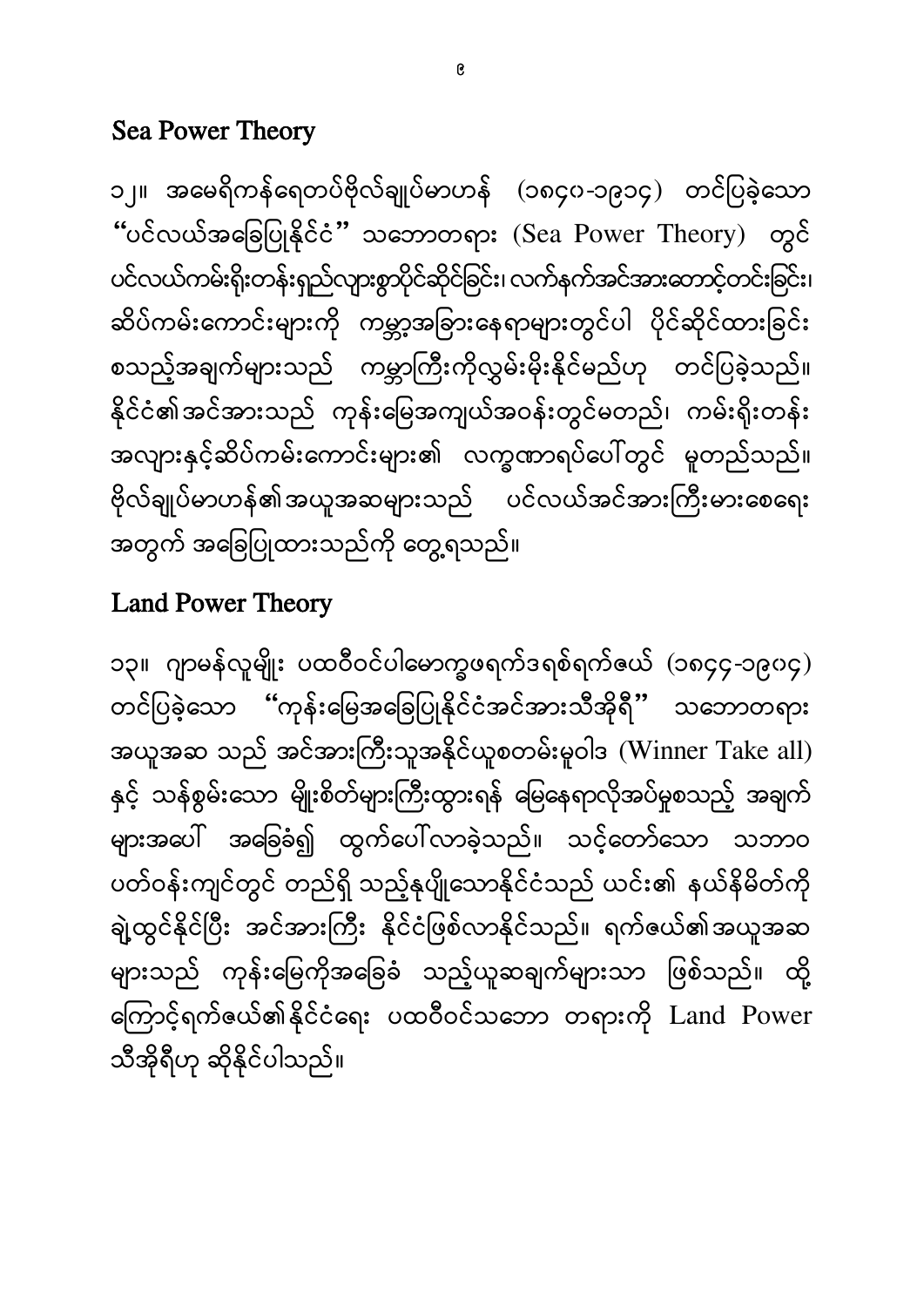၁၃။ ဂျာမန်လူမျိုး ပထဝီဝင်ပါမောက္ခဖရက်ဒရစ်ရက်ဧယ် (၁၈၄၄-၁၉၀၄) တင်ပြခဲ့သော "ကုန်းမြေအခြေပြုနိုင်ငံအင်အားသီအိုရီ" သဘောတရား အယူအဆ သည် အင်အားကြီးသူအနိုင်ယူစတမ်းမူဝါဒ (Winner Take all) နှင့် သန်စွမ်းသော မျိုးစိတ်များကြီးထွားရန် မြေနေရာလိုအပ်မှုစသည့် အချက် များအပေါ် အခြေခံ၍ ထွက်ပေါ်လာခဲ့သည်။ သင့်တော်သော သဘာဝ ပတ်ဝန်းကျင်တွင် တည်ရှိ သည့်နုပျိုသောနိုင်ငံသည် ယင်း၏ နယ်နိမိတ်ကို ချဲ့ထွင်နိုင်ပြီး အင်အားကြီး နိုင်ငံဖြစ်လာနိုင်သည်။ ရက်ဇယ်၏အယူအဆ များသည် ကုန်းမြေကိုအခြေခံ သည့်ယူဆချက်များသာ ဖြစ်သည်။ ထို့ ကြောင့်ရက်ဧယ်၏နိုင်ငံရေး ပထဝီဝင်သဘော တရားကို Land Power သီအိုရီဟု ဆိုနိုင်ပါသည်။

#### Land Power Theory

၁၂။ အမေရိကန်ရေတပ်ဗိုလ်ချုပ်မာဟန် (၁၈၄၀-၁၉၁၄) တင်ပြခဲ့သော "ပင်လယ်အခြေပြုနိုင်ငံ" သဘောတရား (Sea Power Theory) ပင်လယ်ကမ်းရိုးတန်းရှည်လျားစွာပိုင်ဆိုင်ခြင်း၊ လက်နက်အင်အားတောင့်တင်းခြင်း၊ ဆိပ်ကမ်းကောင်းများကို ကမ္ဘာ့အခြားနေရာများတွင်ပါ ပိုင်ဆိုင်ထားခြင်း စသည့်အချက်များသည် ကမ္ဘာကြီးကိုလွှမ်းမိုးနိုင်မည်ဟု တင်ပြခဲ့သည်။ နိုင်ငံ၏အင်အားသည် ကုန်းမြေအကျယ်အဝန်းတွင်မတည်၊ ကမ်းရိုးတန်း အလျားနှင့်ဆိပ်ကမ်းကောင်းများ၏ လက္ခဏာရပ်ပေါ်တွင် မူတည်သည်။ ဗိုလ်ချုပ်မာဟန်၏အယူအဆများသည် ပင်လယ်အင်အားကြီးမားစေရေး အတွက် အခြေပြုထားသည်ကို တွေ့ရသည်။

#### Sea Power Theory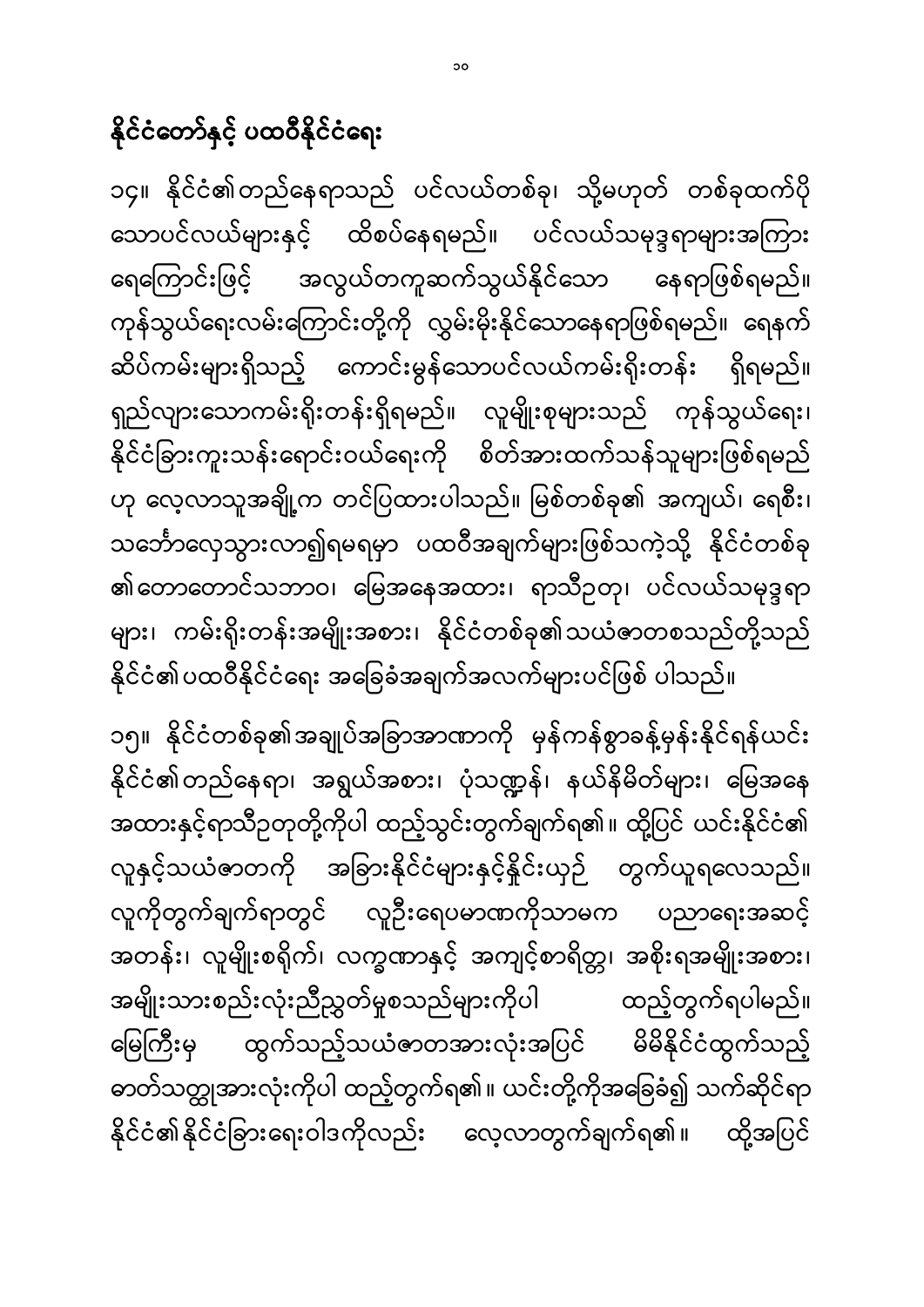၁၅။ နိုင်ငံတစ်ခု၏အချုပ်အခြာအာဏာကို မှန်ကန်စွာခန့်မှန်းနိုင်ရန်ယင်း နိုင်ငံ၏တည်နေရာ၊ အရွယ်အစား၊ ပုံသဏ္ဍန်၊ နယ်နိမိတ်များ၊ မြေအနေ အထားနှင့်ရာသီဉတုတို့ကိုပါ ထည့်သွင်းတွက်ချက်ရ၏။ ထို့ပြင် ယင်းနိုင်ငံ၏ လူနှင့်သယံဇာတကို အခြားနိုင်ငံများနှင့်နိူင်းယှဉ် တွက်ယူရလေသည်။ လူကိုတွက်ချက်ရာတွင် လူဦးရေပမာဏကိုသာမက ပညာရေးအဆင့် အတန်း၊ လူမျိုးစရိုက်၊ လက္ခဏာနှင့် အကျင့်စာရိတ္တ၊ အစိုးရအမျိုးအစား၊ အမျိုးသားစည်းလုံးညီညွှတ်မှုစသည်များကိုပါ ထည့်တွက်ရပါမည်။ မြေကြီးမှ ထွက်သည့်သယံဇာတအားလုံးအပြင် မိမိနိုင်ငံထွက်သည့် ဓာတ်သတ္ထုအားလုံးကိုပါ ထည့်တွက်ရ၏။ ယင်းတို့ကိုအခြေခံ၍ သက်ဆိုင်ရာ နိုင်ငံ၏နိုင်ငံခြားရေးဝါဒကိုလည်း လေ့လာတွက်ချက်ရ၏။ ထို့အပြင်

၁၄။ နိုင်ငံ၏တည်နေရာသည် ပင်လယ်တစ်ခု၊ သို့မဟုတ် တစ်ခုထက်ပို သောပင်လယ်များနှင့် ထိစပ်နေရမည်။ ပင်လယ်သမုဒ္ဒရာများအကြား ရေကြောင်းဖြင့် အလွယ်တကူဆက်သွယ်နိုင်သော နေရာဖြစ်ရမည်။ ကုန်သွယ်ရေးလမ်းကြောင်းတို့ကို လွှမ်းမိုးနိုင်သောနေရာဖြစ်ရမည်။ ရေနက် ဆိပ်ကမ်းများရှိသည့် ကောင်းမွန်သောပင်လယ်ကမ်းရိုးတန်း ရှိရမည်။ ရှည်လျားသောကမ်းရိုးတန်းရှိရမည်။ လူမျိုးစုများသည် ကုန်သွယ်ရေး၊ နိုင်ငံခြားကူးသန်းရောင်းဝယ်ရေးကို စိတ်အားထက်သန်သူများဖြစ်ရမည် ဟု လေ့လာသူအချို့က တင်ပြထားပါသည်။ မြစ်တစ်ခု၏ အကျယ်၊ ရေစီး၊ သင်္ဘောလှေသွားလာ၍ရမရမှာ ပထဝီအချက်များဖြစ်သကဲ့သို့ နိုင်ငံတစ်ခု ၏တောတောင်သဘာဝ၊ မြေအနေအထား၊ ရာသီဉတု၊ ပင်လယ်သမုဒ္ဒရာ များ၊ ကမ်းရိုးတန်းအမျိုးအစား၊ နိုင်ငံတစ်ခု၏သယံဇာတစသည်တို့သည် နိုင်ငံ၏ပထဝီနိုင်ငံရေး အခြေခံအချက်အလက်များပင်ဖြစ် ပါသည်။

နိုင်ငံတော်နှင့် ပထဝီနိုင်ငံရေး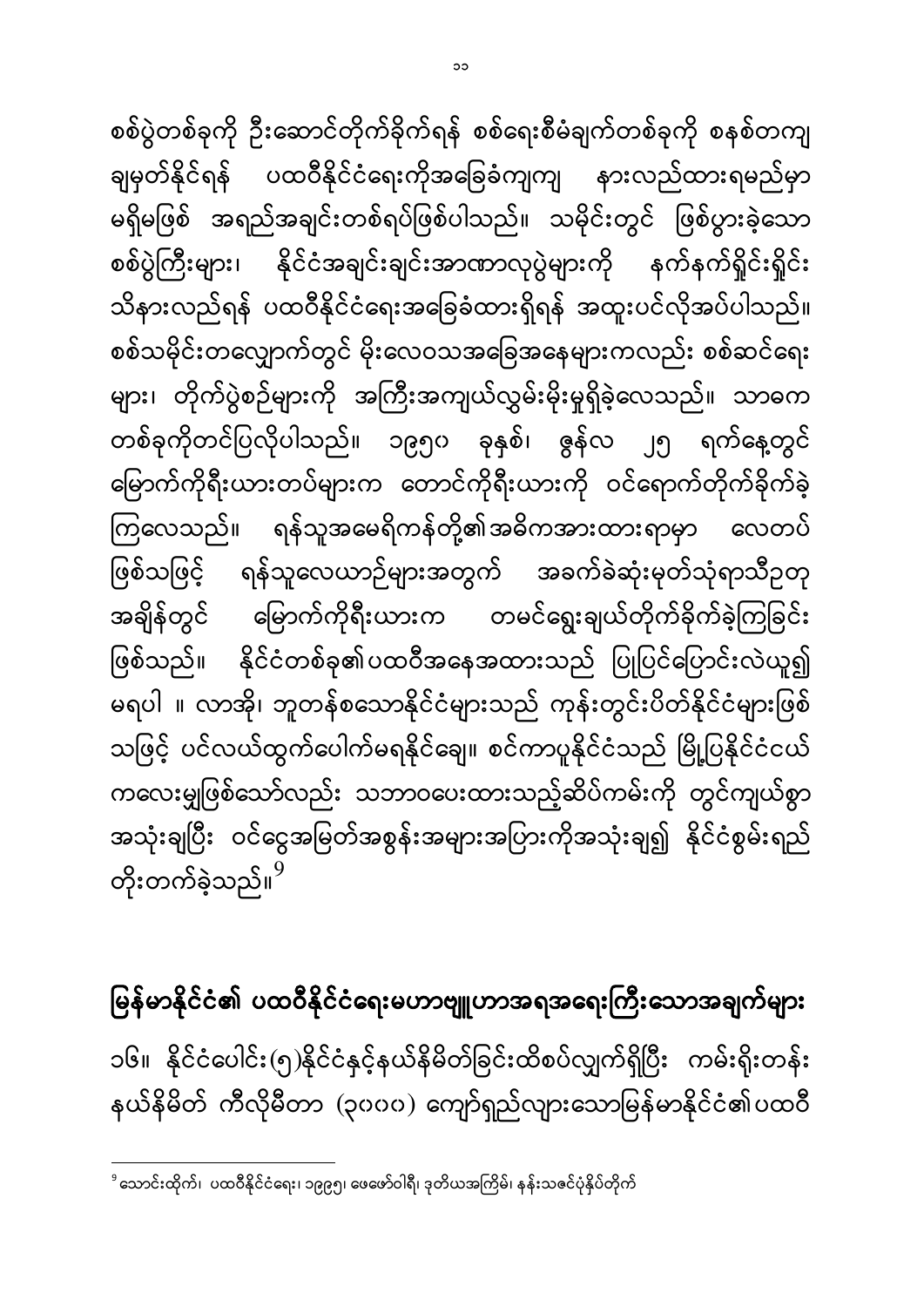မြန်မာနိုင်ငံ၏ ပထဝီနိုင်ငံရေးမဟာဗျူဟာအရအရေးကြီးသောအချက်များ ĺ ၁၆။ နိုင်ငံပေါင်း(၅)နိုင်ငံနှင့်နယ်နိမိတ်ခြင်းထိစပ်လျှက်ရှိပြီး ကမ်းရိုးတန်း နယ်နိမိတ် ကီလိုမီတာ (၃၀၀၀) ကျော်ရှည်လျားသောမြန်မာနိုင်ငံ၏ပထဝီ

စစ်သမိုင်းတလျှောက်တွင် မိုးလေဝသအခြေအနေများကလည်း စစ်ဆင်ရေး များ၊ တိုက်ပွဲစဉ်များကို အကြီးအကျယ်လွှမ်းမိုးမှုရှိခဲ့လေသည်။ သာဓက တစ်ခုကိုတင်ပြလိုပါသည်။ ၁၉၅၀ ခုနှစ်၊ ဇွန်လ ၂၅ ရက်နေ့တွင် မြောက်ကိုရီးယားတပ်များက တောင်ကိုရီးယားကို ဝင်ရောက်တိုက်ခိုက်ခဲ့ ကြလေသည်။ ရန်သူအမေရိကန်တို့၏အဓိကအားထားရာမှာ လေတပ် ဖြစ်သဖြင့် ရန်သူလေယာဉ်များအတွက် အခက်ခဲဆုံးမုတ်သုံရာသီဥတု ĺ အချိန်တွင် မြောက်ကိုရီးယားက တမင်ရွေးချယ်တိုက်ခိုက်ခဲ့ကြခြင်း ဖြစ်သည်။ နိုင်ငံတစ်ခု၏ပထဝီအနေအထားသည် ပြုပြင်ပြောင်းလဲယူ၍ မရပါ ။ လာအို၊ ဘူတန်စသောနိုင်ငံများသည် ကုန်းတွင်းပိတ်နိုင်ငံများဖြစ် သဖြင့် ပင်လယ်ထွက်ပေါက်မရနိုင်ချေ။ စင်ကာပူနိုင်ငံသည် မြို့ပြနိုင်ငံငယ် ကလေးမျှဖြစ်သော်လည်း သဘာဝပေးထားသည့်ဆိပ်ကမ်းကို တွင်ကျယ်စွာ အသုံးချပြီး ဝင်ငွေအမြတ်အစွန်းအများအပြားကိုအသုံးချ၍ နိုင်ငံစွမ်းရည် တိုးတက်ခဲ့သည်။<sup>9</sup>

စစ်ပွဲတစ်ခုကို ဦးဆောင်တိုက်ခိုက်ရန် စစ်ရေးစီမံချက်တစ်ခုကို စနစ်တကျ

ချမှတ်နိုင်ရန် ပထဝီနိုင်ငံရေးကိုအခြေခံကျကျ နားလည်ထားရမည်မှာ

မရှိမဖြစ် အရည်အချင်းတစ်ရပ်ဖြစ်ပါသည်။ သမိုင်းတွင် ဖြစ်ပွားခဲ့သော

စစ်ပွဲကြီးများ၊ နိုင်ငံအချင်းချင်းအာဏာလုပွဲများကို နက်နက်ရှိုင်းရှိုင်း

သိနားလည်ရန် ပထဝီနိုင်ငံရေးအခြေခံထားရှိရန် အထူးပင်လိုအပ်ပါသည်။

 $\overline{\phantom{a}}$ <sup>9</sup> သောင်းထိုက်၊ ပထဝီနိုင်ငံရေး၊ ၁၉၉၅၊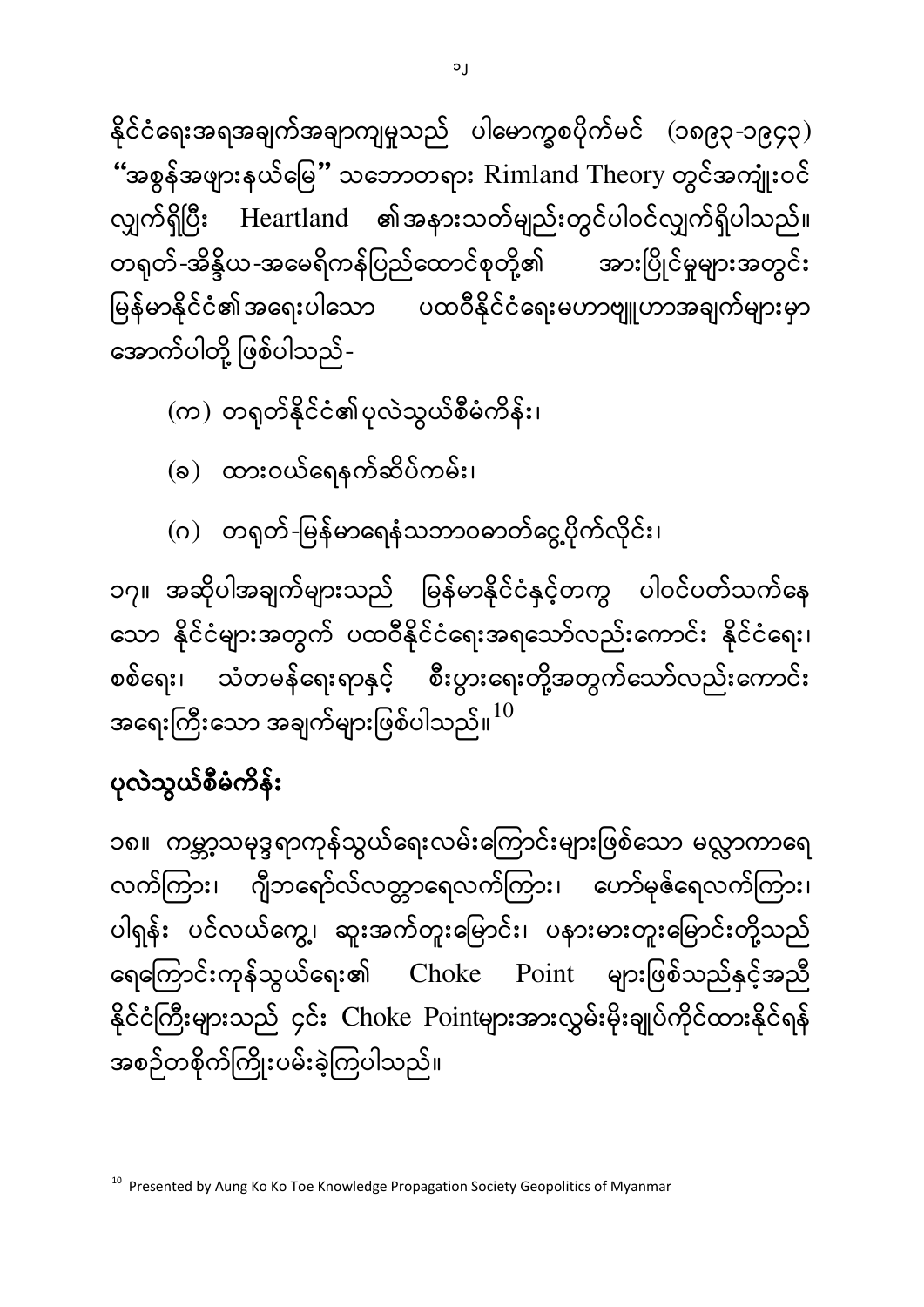၁၈။ ကမ္ဘာ့သမုဒ္ဒရာကုန်သွယ်ရေးလမ်းကြောင်းများဖြစ်သော မလ္လာကာရေ လက်ကြား၊ ဂျီဘရော်လ်လတ္တာရေလက်ကြား၊ ဟော်မုဇ်ရေလက်ကြား၊ ပါရှန်း ပင်လယ်ကွေ့၊ ဆူးအက်တူးမြောင်း၊ ပနားမားတူးမြောင်းတို့သည် ရေကြောင်းကုန်သွယ်ရေး၏ Choke Point များဖြစ်သည်နှင့်အညီ နိုင်ငံကြီးများသည် ၄င်း Choke Pointများအားလွှမ်းမိုးချုပ်ကိုင်ထားနိုင်ရန် အစဉ်တစိုက်ကြိုးပမ်းခဲ့ကြပါသည်။

# ပုလဲသွယ်စီမံကိန်း

၁၇။ အဆိုပါအချက်များသည် မြန်မာနိုင်ငံနှင့်တကွ ပါဝင်ပတ်သက်နေ သော နိုင်ငံများအတွက် ပထဝီနိုင်ငံရေးအရသော်လည်းကောင်း နိုင်ငံရေး၊ စစ်ရေး၊ သံတမန်ရေးရာနှင့် စီးပွားရေးတို့အတွက်သော်လည်းကောင်း အရေးကြီးသော အချက်များဖြစ်ပါသည်။ $^{10}$ 

(ဂ) တရုတ်-မြန်မာရေနံသဘာဝဓာတ်ငွေ့ပိုက်လိုင်း၊

(ခ) ထားဝယ်ရေနက်ဆိပ်ကမ်း၊

(က) တရုတ်နိုင်ငံ၏ပုလဲသွယ်စီမံကိန်း၊

နိုင်ငံရေးအရအချက်အချာကျမှုသည် ပါမောက္ခစပိုက်မင် (၁၈၉၃-၁၉၄၃) "အစွန်အဖျားနယ်မြေ" သဘောတရား Rimland Theory တွ လျှက်ရှိပြီး Heartland ၏အနားသတ်မျည်းတွင်ပါဝင်လျှက်ရှိပါသည်။ တရုတ်-အိန္ဒိယ-အမေရိကန်ပြည်ထောင်စုတို့၏ အားပြိုင်မှုများအတွင်း မြန်မာနိုင်ငံ၏အရေးပါသော ပထဝီနိုင်ငံရေးမဟာဗျူဟာအချက်များမှာ ĺ အောက်ပါတို့ ဖြစ်ပါသည်-

 10 Presented by Aung Ko Ko Toe Knowledge Propagation Society Geopolitics of Myanmar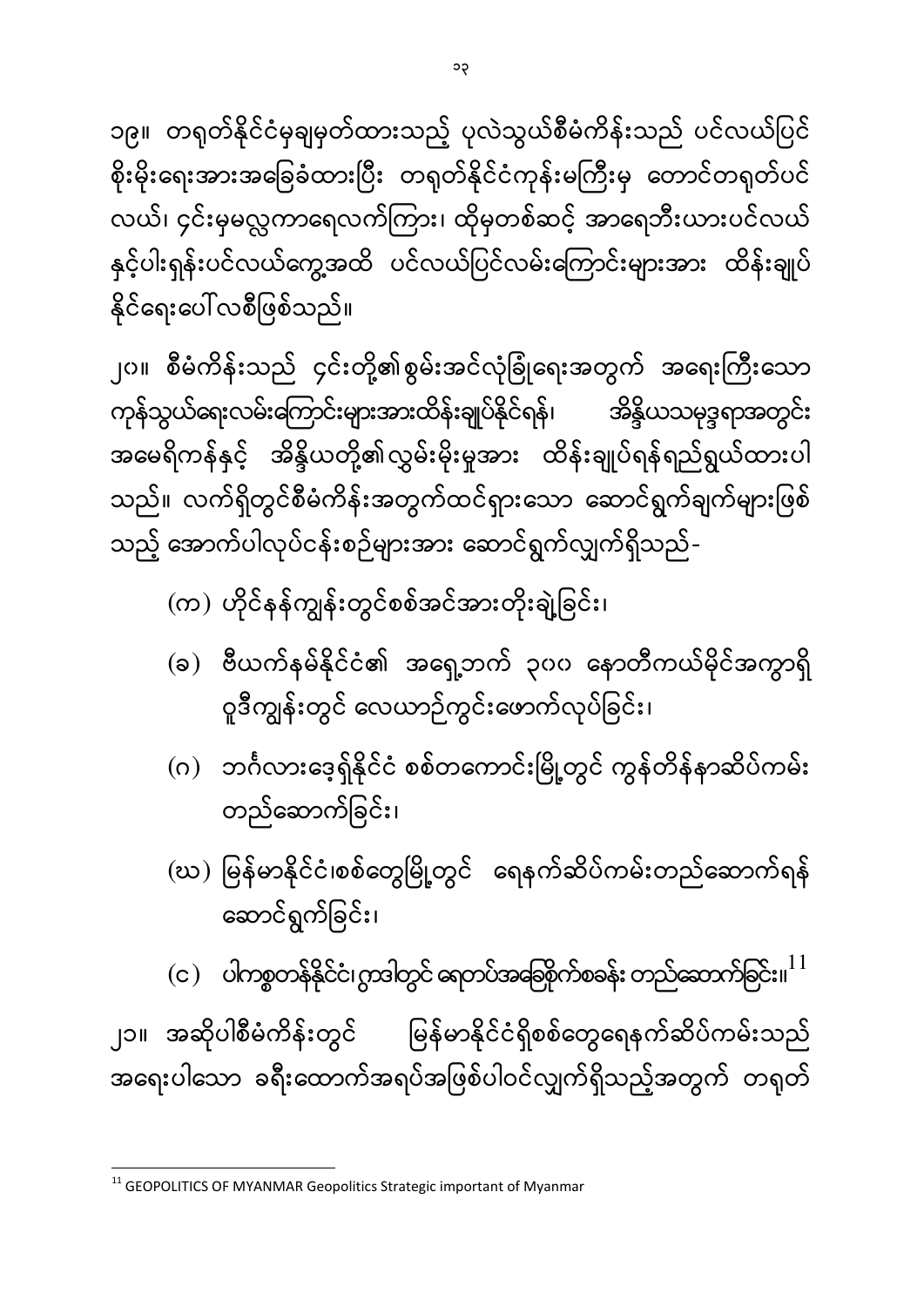**.** 

 $\rm (c)$  ပါကစ္စတန်နိုင်ငံ၊ ဂွာဒါတွင် ရေတပ်အခြေစိုက်စခန်း တည်ဆောက်ခြင်း။ $^{11}$ ျာ။ အဆိုပါစီမံကိန်းတွင် မြန်မာနိုင်ငံရှိစစ်တွေရေနက်ဆိပ်ကမ်းသည်

အရေးပါသော ခရီးထောက်အရပ်အဖြစ်ပါဝင်လျှက်ရှိသည့်အတွက် တရုတ်

- (ဃ) မြန်မာနိုင်ငံ၊စစ်တွေမြို့တွင် ရေနက်ဆိပ်ကမ်းတည်ဆောက်ရန် ဆောင်ရွက်ခြင်း၊
- (ဂ) ဘင်္ဂလားဒေ့ရှ်နိုင်ငံ စစ်တကောင်းမြို့တွင် ကွန်တိန်နာဆိပ်ကမ်း တည်ဆောက်ခြင်း၊
- (ခ) ဗီယက်နမ်နိုင်ငံ၏ အရှေ့ဘက် ၃၀၀ နောတီကယ်မိုင်အကွာရှိ ဝူဒီကျွန်းတွင် လေယာဉ်ကွင်းဖောက်လုပ်ခြင်း၊

၂၀။ စီမံကိန်းသည် ၄င်းတို့၏စွမ်းအင်လုံခြုံရေးအတွက် အရေးကြီးသော ကုန်သွယ်ရေးလမ်းကြောင်းများအားထိန်းချုပ်နိုင်ရန်၊ ာ<br>အိန္ဒိယသမုဒ္ဒရာအတွင်း အမေရိကန်နှင့် အိန္ဒိယတို့၏လွှမ်းမိုးမှုအား ထိန်းချုပ်ရန်ရည်ရွယ်ထားပါ သည်။ လက်ရှိတွင်စီမံကိန်းအတွက်ထင်ရှားသော ဆောင်ရွက်ချက်များဖြစ် သည့် အောက်ပါလုပ်ငန်းစဉ်များအား ဆောင်ရွက်လျှက်ရှိသည်-(က) ဟိုင်နန်ကျွန်းတွင်စစ်အင်အားတိုးချဲ့ခြင်း၊

၁၉။ တရုတ်နိုင်ငံမှချမှတ်ထားသည့် ပုလဲသွယ်စီမံကိန်းသည် ပင်လယ်ပြင် စိုးမိုးရေးအားအခြေခံထားပြီး တရုတ်နိုင်ငံကုန်းမကြီးမှ တောင်တရုတ်ပင် လယ်၊ ၄င်းမှမလ္လကာရေလက်ကြား၊ ထိုမှတစ်ဆင့် အာရေဘီးယားပင်လယ် နှင့်ပါးရုန်းပင်လယ်ကွေ့အထိ ပင်လယ်ပြင်လမ်းကြောင်းများအား ထိန်းချုပ် နိုင်ရေးပေါ် လစီဖြစ်သည်။

 $11$  GEOPOLITICS OF MYANMAR Geopolitics Strategic important of Myanmar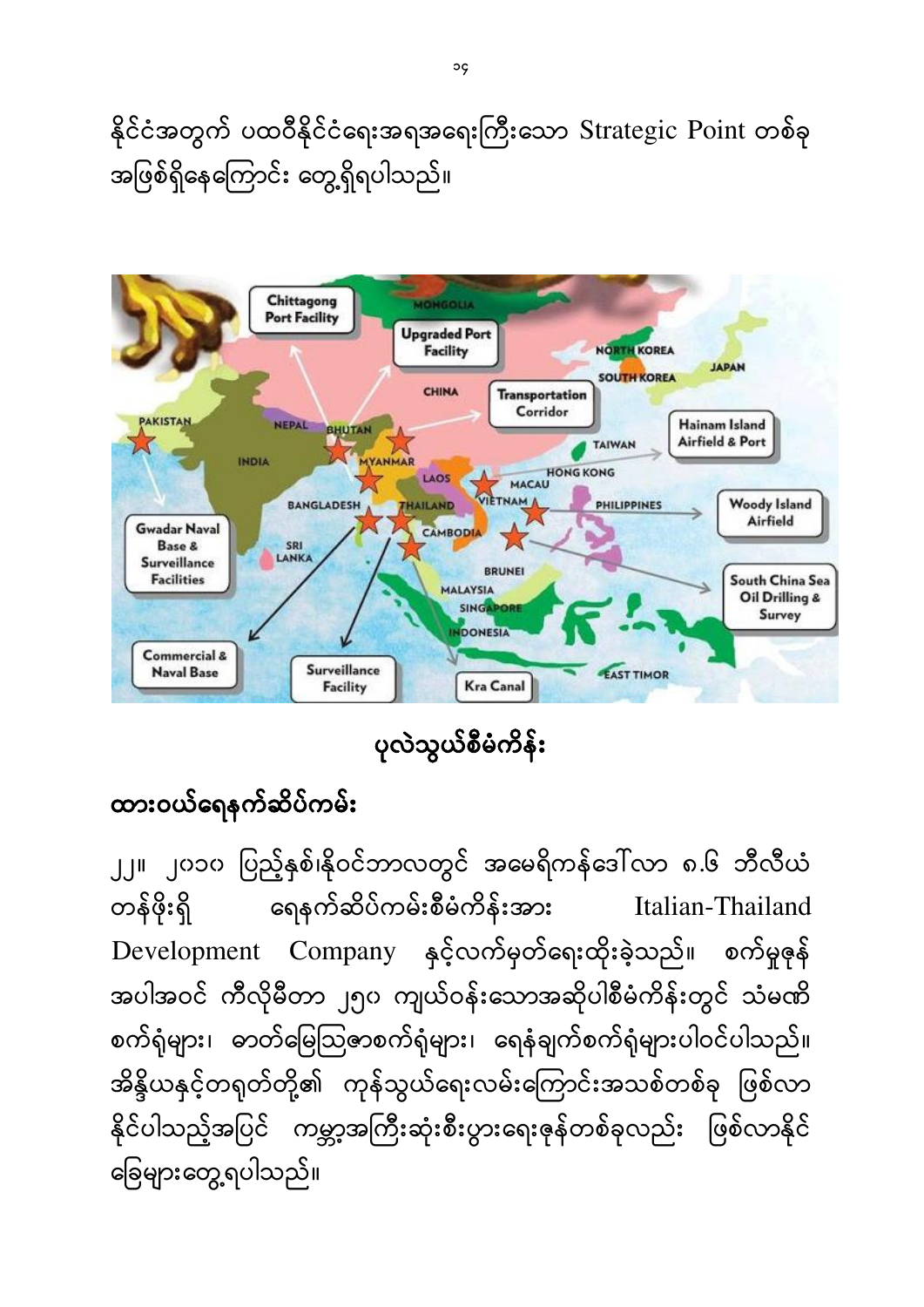နိုင်ငံအတွက် ပထဝီနိုင်ငံရေးအရအရေးကြီးသော Strategic Point တစ်ခု အဖြစ်ရှိနေကြောင်း တွေ့ရှိရပါသည်။



ပုလဲသွယ်စီမံကိန်**း** 

### ထားဝယ်ရေနက်ဆိပ်ကမ်း

၂၂။ ၂၀၁၀ ပြည့်နှစ်၊နိုဝင်ဘာလတွင် အမေရိကန်ဒေါ်လာ ၈.၆ ဘီလီယံ တန်ဖိုးရှိ ရေနက်ဆိပ်ကမ်းစီမံကိန်းအား Italian-Thailand Development Company နှင့်လက်မှတ်ရေးထိုးခဲ့သည်။ စက်မှုဇုန် အပါအဝင် ကီလိုမီတာ ၂၅၀ ကျယ်ဝန်းသောအဆိုပါစီမံကိန်းတွင် သံမဏိ စက်ရုံများ၊ ဓာတ်မြေသြ့ဇာစက်ရုံများ၊ ရေနံချက်စက်ရုံများပါဝင်ပါသည်။ အိန္ဒိယနှင့်တရုတ်တို့၏ ကုန်သွယ်ရေးလမ်းကြောင်းအသစ်တစ်ခု ဖြစ်လာ နိုင်ပါသည့်အပြင် ကမ္ဘာ့အကြီးဆုံးစီးပွားရေးဇုန်တစ်ခုလည်း ဖြစ်လာနိုင် ခြေများတွေ့ရပါသည်။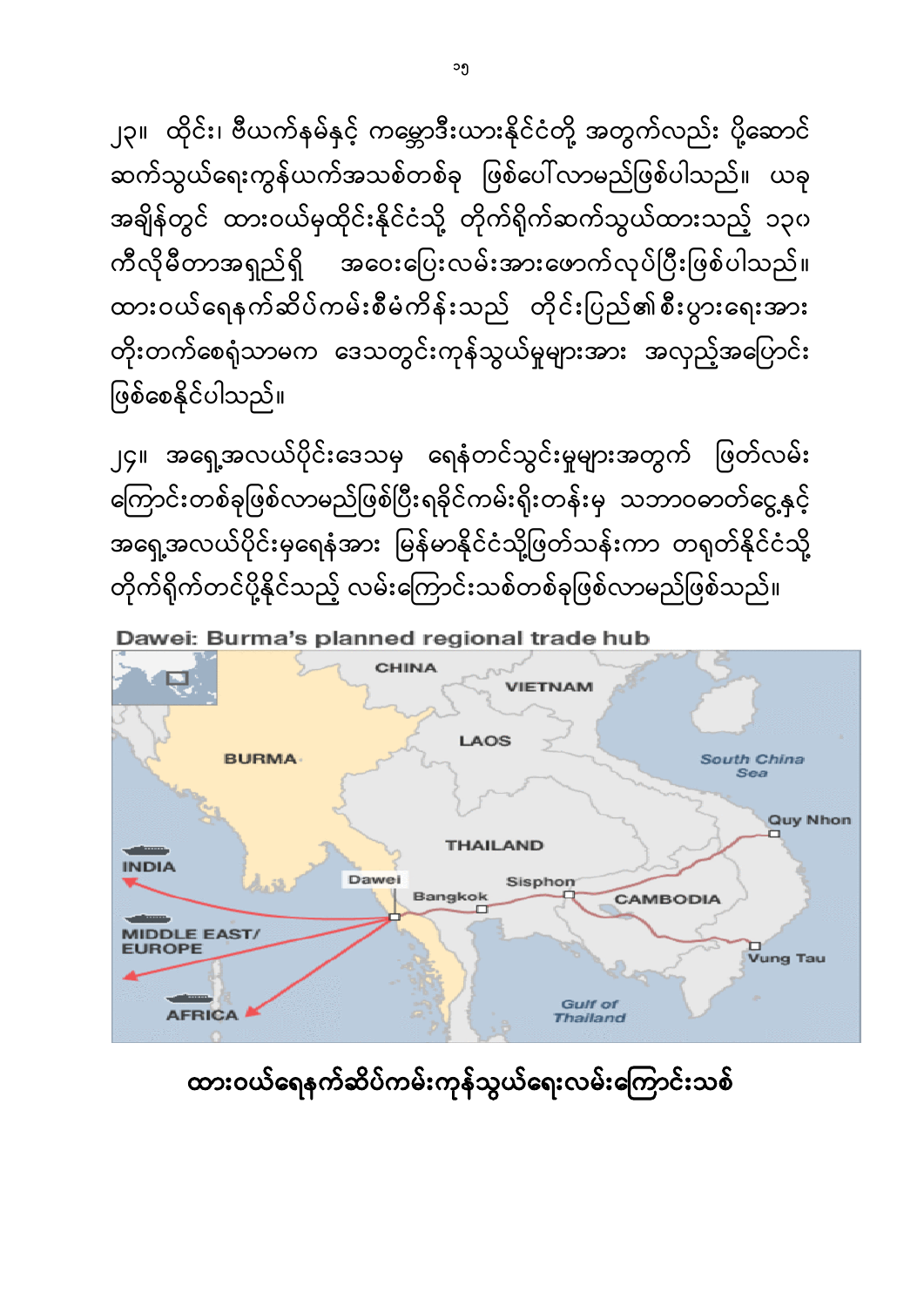### ထားဝယ်ရေနက်ဆိပ်ကမ်းကုန်သွယ်ရေးလမ်းကြောင်းသစ်



Dawei: Burma's planned regional trade hub

၂၄။ အရှေ့အလယ်ပိုင်းဒေသမှ ရေနံတင်သွင်းမှုများအတွက် ဖြတ်လမ်း ကြောင်းတစ်ခုဖြစ်လာမည်ဖြစ်ပြီးရခိုင်ကမ်းရိုးတန်းမှ သဘာဝဓာတ်ငွေ့နှင့် အရှေ့အလယ်ပိုင်းမှရေနံအား မြန်မာနိုင်ငံသို့ဖြတ်သန်းကာ တရုတ်နိုင်ငံသို့ တိုက်ရိုက်တင်ပို့နိုင်သည့် လမ်းကြောင်းသစ်တစ်ခုဖြစ်လာမည်ဖြစ်သည်။

# ဖြစ်စေနိုင်ပါသည်။

ျာ။ ထိုင်း၊ ဗီယက်နမ်နှင့် ကမ္ဘောဒီးယားနိုင်ငံတို့ အတွက်လည်း ပို့ဆောင် ဆက်သွယ်ရေးကွန်ယက်အသစ်တစ်ခု ဖြစ်ပေါ်လာမည်ဖြစ်ပါသည်။ ယခု အချိန်တွင် ထားဝယ်မှထိုင်းနိုင်ငံသို့ တိုက်ရိုက်ဆက်သွယ်ထားသည့် ၁၃၀ ကီလိုမီတာအရှည်ရှိ အဝေးပြေးလမ်းအားဖောက်လုပ်ပြီးဖြစ်ပါသည်။ ထားဝယ်ရေနက်ဆိပ်ကမ်းစီမံကိန်းသည် တိုင်းပြည်၏စီးပွားရေးအား တိုးတက်စေရံသာမက ဒေသတွင်းကုန်သွယ်မှုများအား အလှည့်အပြောင်း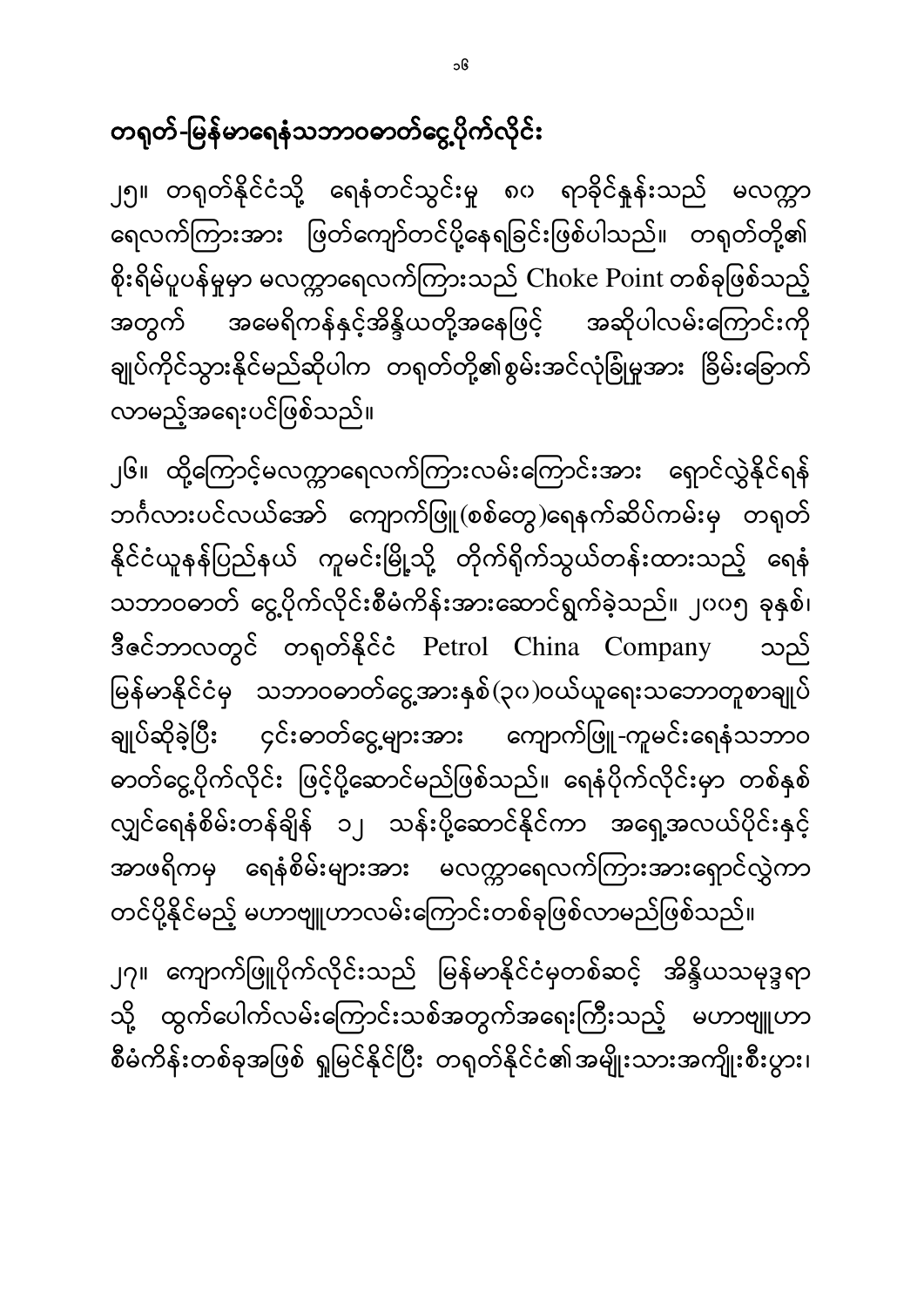တရုတ်-မြန်မာရေနံသဘာဝဓာတ်ငွေ့ပိုက်လိုင်း

၂၅။ တရုတ်နိုင်ငံသို့ ရေနံတင်သွင်းမှု ၈၀ ရာခိုင်နှုန်းသည် မလက္ကာ ရေလက်ကြားအား ဖြတ်ကျော်တင်ပို့နေရခြင်းဖြစ်ပါသည်။ တရုတ်တို့၏ စိုးရိမ်ပူပန်မှုမှာ မလက္ကာရေလက်ကြားသည် Choke Point တစ်ခုဖြစ်သည့် အမေရိကန်နှင့်အိန္ဒိယတို့အနေဖြင့် အဆိုပါလမ်းကြောင်းကို အတွက် ချုပ်ကိုင်သွားနိုင်မည်ဆိုပါက တရုတ်တို့၏စွမ်းအင်လုံခြုံမှုအား ခြိမ်းခြောက် လာမည့်အရေးပင်ဖြစ်သည်။

၂၆။ ထို့ကြောင့်မလက္ကာရေလက်ကြားလမ်းကြောင်းအား ရှောင်လွှဲနိုင်ရန် ဘင်္ဂလားပင်လယ်အော် ကျောက်ဖြူ(စစ်တွေ)ရေနက်ဆိပ်ကမ်းမှ တရုတ် နိုင်ငံယူနန်ပြည်နယ် ကူမင်းမြို့သို့ တိုက်ရိုက်သွယ်တန်းထားသည့် ရေနံ သဘာဝဓာတ် ငွေ့ပိုက်လိုင်းစီမံကိန်းအားဆောင်ရွက်ခဲ့သည်။ ၂၀၀၅ ခုနှစ်၊ ဒီဇင်ဘာလတွင် တရုတ်နိုင်ငံ Petrol China Company သည် မြန်မာနိုင်ငံမှ သဘာဝဓာတ်ငွေ့အားနှစ်(၃၀)ဝယ်ယူရေးသဘောတူစာချုပ် ချုပ်ဆိုခဲ့ပြီး ၄င်းဓာတ်ငွေ့များအား ကျောက်ဖြူ-ကူမင်းရေနံသဘာဝ ဓာတ်ငွေ့ပိုက်လိုင်း ဖြင့်ပို့ဆောင်မည်ဖြစ်သည်။ ရေနံပိုက်လိုင်းမှာ တစ်နှစ် လျှင်ရေနံစိမ်းတန်ချိန် ၁၂ သန်းပို့ဆောင်နိုင်ကာ အရှေ့အလယ်ပိုင်းနှင့် အာဖရိကမှ ရေနံစိမ်းများအား မလက္ကာရေလက်ကြားအားရှောင်လွှဲကာ တင်ပို့နိုင်မည့် မဟာဗျူဟာလမ်းကြောင်းတစ်ခုဖြစ်လာမည်ဖြစ်သည်။

၂၇။ ကျောက်ဖြူပိုက်လိုင်းသည် မြန်မာနိုင်ငံမှတစ်ဆင့် အိန္ဒိယသမုဒ္ဒရာ သို့ ထွက်ပေါက်လမ်းကြောင်းသစ်အတွက်အရေးကြီးသည့် မဟာဗျူဟာ စီမံကိန်းတစ်ခုအဖြစ် ရှုမြင်နိုင်ပြီး တရုတ်နိုင်ငံ၏အမျိုးသားအကျိုးစီးပွား၊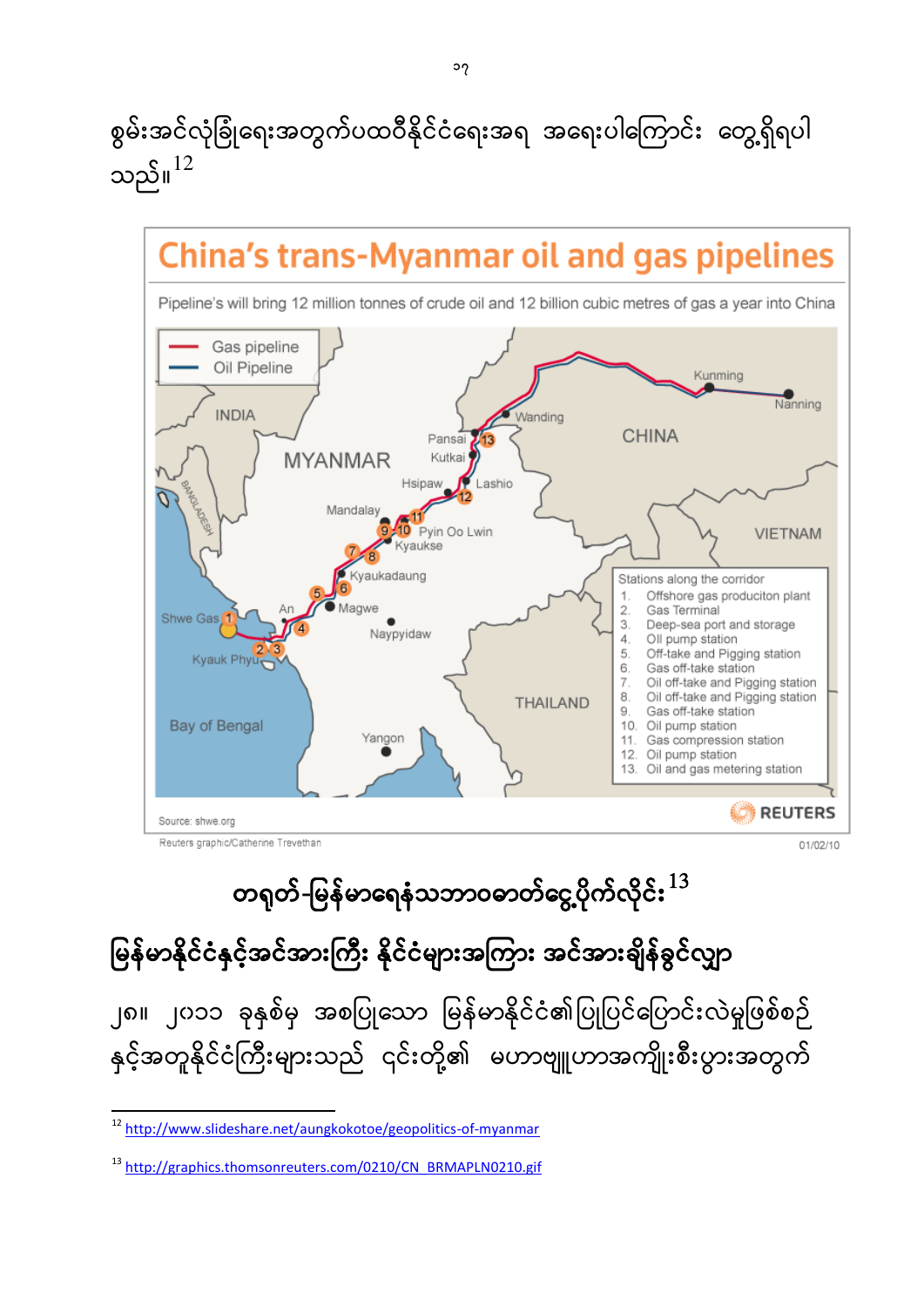စွမ်းအင်လုံခြုံရေးအတွက်ပထဝီနိုင်ငံရေးအရ အရေးပါကြောင်း တွေ့ရှိရပါ သည်။ $^{12}$ 



မြန်မာနိုင်ငံနှင့်အင်အားကြီး နိုင်ငံများအကြား အင်အားချိန်ခွင်လျှာ ĺ

၂၈။ ၂၀၁၁ ခုနှစ်မှ အစပြုသော မြန်မာနိုင်ငံ၏ပြုပြင်ပြောင်းလဲမှုဖြစ်စဉ် နှင့်အတူနိုင်ငံကြီးများသည် ၎င်းတို့၏ မဟာဗျူဟာအကျိုးစီးပွားအတွက်

1

<sup>&</sup>lt;sup>12</sup> <http://www.slideshare.net/aungkokotoe/geopolitics-of-myanmar>

<sup>13</sup> [http://graphics.thomsonreuters.com/0210/CN\\_BRMAPLN0210.gif](http://graphics.thomsonreuters.com/0210/CN_BRMAPLN0210.gif)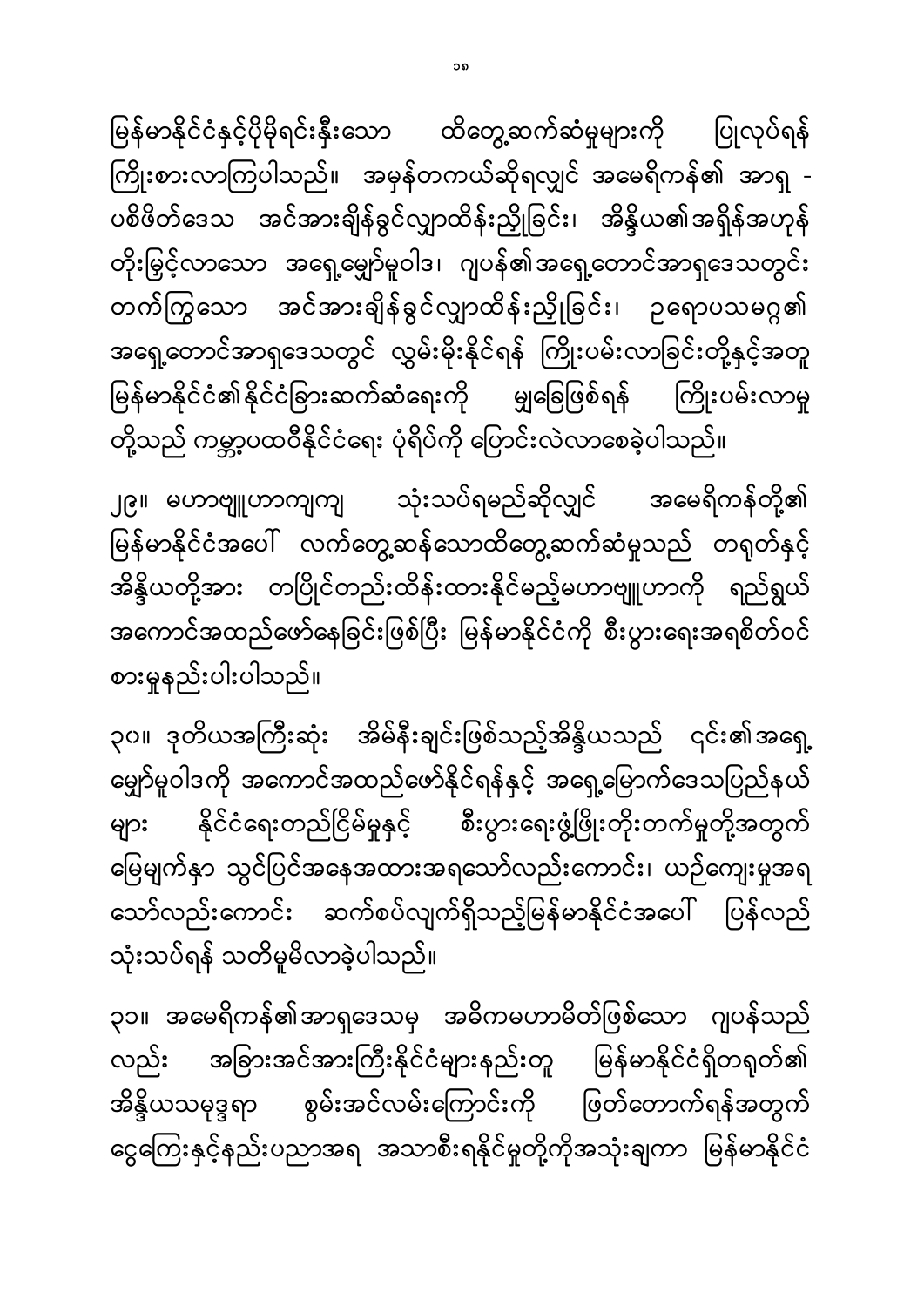၃၁။ အမေရိကန်၏အာရှဒေသမှ အဓိကမဟာမိတ်ဖြစ်သော ဂျပန်သည် လည်း အခြားအင်အားကြီးနိုင်ငံများနည်းတူ မြန်မာနိုင်ငံရှိတရုတ်၏ အိန္ဒိယသမုဒ္ဒရာ စွမ်းအင်လမ်းကြောင်းကို ဖြတ်တောက်ရန်အတွက် ငွေကြေးနှင့်နည်းပညာအရ အသာစီးရနိုင်မှုတို့ကိုအသုံးချကာ မြန်မာနိုင်ငံ

၃၀။ ဒုတိယအကြီးဆုံး အိမ်နီးချင်းဖြစ်သည့်အိန္ဒိယသည် ၎င်း၏အရှေ့ မျှော်မူဝါဒကို အကောင်အထည်ဖော်နိုင်ရန်နှင့် အရှေ့မြောက်ဒေသပြည်နယ် နိုင်ငံရေးတည်ငြိမ်မှုနှင့် စီးပွားရေးဖွံ့ဖြိုးတိုးတက်မှုတို့အတွက် များ မြေမျက်နှာ သွင်ပြင်အနေအထားအရသော်လည်းကောင်း၊ ယဉ်ကျေးမှုအရ သော်လည်းကောင်း ဆက်စပ်လျက်ရှိသည့်မြန်မာနိုင်ငံအပေါ် ပြန်လည် သုံးသပ်ရန် သတိမူမိလာခဲ့ပါသည်။

သုံးသပ်ရမည်ဆိုလျှင် အမေရိကန်တို့၏ ၂၉။ မဟာဗျူဟာကျကျ မြန်မာနိုင်ငံအပေါ် လက်တွေ့ဆန်သောထိတွေ့ဆက်ဆံမှုသည် တရုတ်နှင့် ĺ အိန္ဒိယတို့အား တပြိုင်တည်းထိန်းထားနိုင်မည့်မဟာဗျူဟာကို ရည်ရွယ် အကောင်အထည်ဖော်နေခြင်းဖြစ်ပြီး မြန်မာနိုင်ငံကို စီးပွားရေးအရစိတ်ဝင် စားမှုနည်းပါးပါသည်။

မြန်မာနိုင်ငံနှင့်ပိုမိုရင်းနှီးသော ထိတွေ့ဆက်ဆံမှုများကို ပြုလုပ်ရန် ĺ ကြိုးစားလာကြပါသည်။ အမှန်တကယ်ဆိုရလျှင် အမေရိကန်၏ အာရှ -ပစိဖိတ်ဒေသ အင်အားချိန်ခွင်လျှာထိန်းညှိုခြင်း၊ အိန္ဒိယ၏အရှိန်အဟုန် တိုးမြှင့်လာသော အရှေ့မျှော်မူဝါဒ၊ ဂျပန်၏အရှေ့တောင်အာရှဒေသတွင်း တက်ကြွသော အင်အားချိန်ခွင်လျှာထိန်းညှိုခြင်း၊ ဥရောပသမဂ္ဂ၏ အရှေ့တောင်အာရှဒေသတွင် လွှမ်းမိုးနိုင်ရန် ကြိုးပမ်းလာခြင်းတို့နှင့်အတူ မြန်မာနိုင်ငံ၏နိုင်ငံခြားဆက်ဆံရေးကို မျှခြေဖြစ်ရန် ကြိုးပမ်းလာမှု ĺ တို့သည် ကမ္ဘာ့ပထဝီနိုင်ငံရေး ပုံရိပ်ကို ပြောင်းလဲလာစေခဲ့ပါသည်။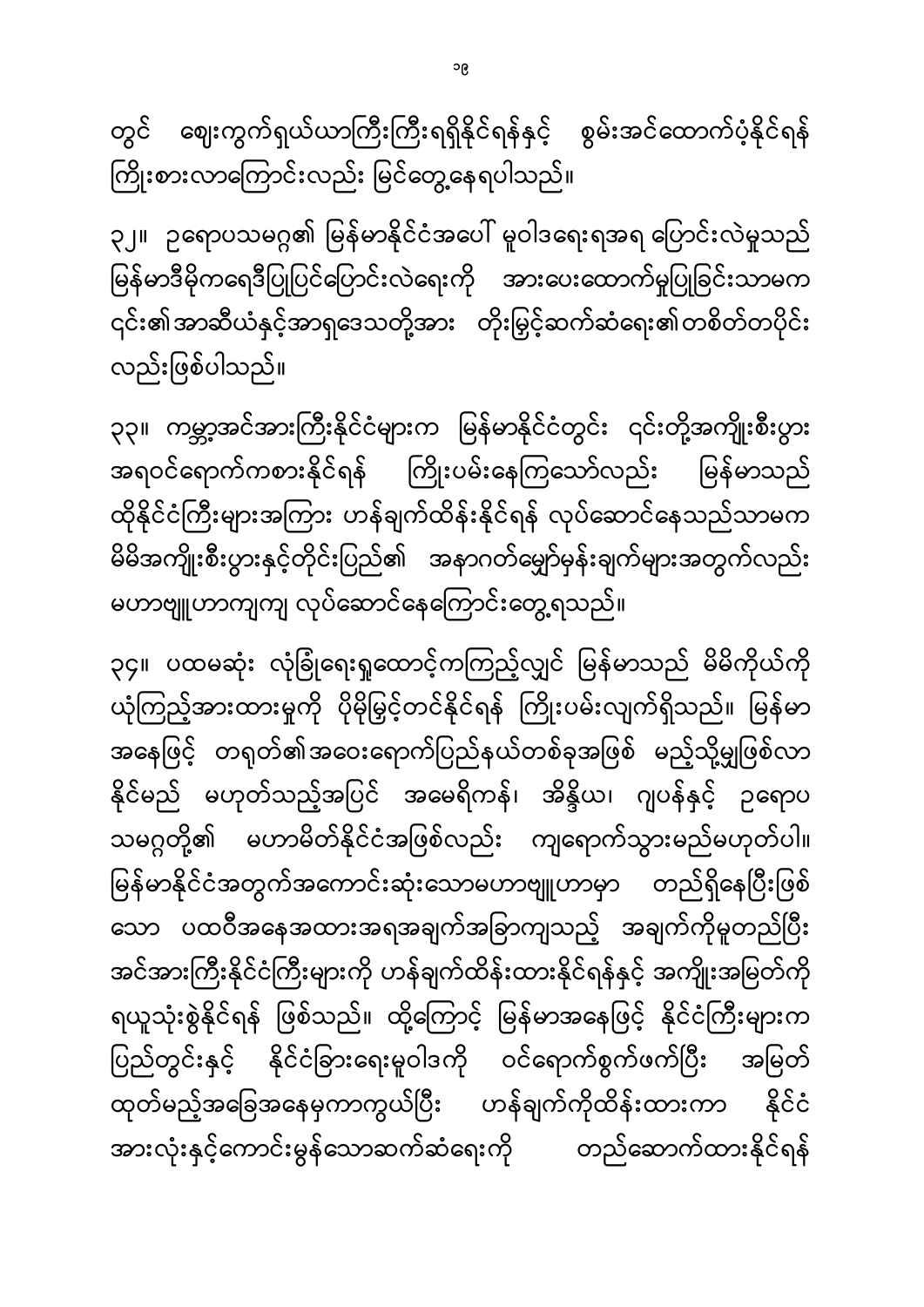၃၄။ ပထမဆုံး လုံခြုံရေးရှုထောင့်ကကြည့်လျှင် မြန်မာသည် မိမိကိုယ်ကို ယုံကြည့်အားထားမှုကို ပိုမိုမြှင့်တင်နိုင်ရန် ကြိုးပမ်းလျက်ရှိသည်။ မြန်မာ အနေဖြင့် တရုတ်၏အဝေးရောက်ပြည်နယ်တစ်ခုအဖြစ် မည့်သို့မျှဖြစ်လာ နိုင်မည် မဟုတ်သည့်အပြင် အမေရိကန်၊ အိန္ဒိယ၊ ဂျပန်နှင့် ဉရောပ သမဂ္ဂတို့၏ မဟာမိတ်နိုင်ငံအဖြစ်လည်း ကျရောက်သွားမည်မဟုတ်ပါ။ မြန်မာနိုင်ငံအတွက်အကောင်းဆုံးသောမဟာဗျူဟာမှာ တည်ရှိနေပြီးဖြစ် ĺ သော ပထဝီအနေအထားအရအချက်အခြာကျသည့် အချက်ကိုမူတည်ပြီး အင်အားကြီးနိုင်ငံကြီးများကို ဟန်ချက်ထိန်းထားနိုင်ရန်နှင့် အကျိုးအမြတ်ကို ရယူသုံးစွဲနိုင်ရန် ဖြစ်သည်။ ထို့ကြောင့် မြန်မာအနေဖြင့် နိုင်ငံကြီးများက ပြည်တွင်းနှင့် နိုင်ငံခြားရေးမူဝါဒကို ဝင်ရောက်စွက်ဖက်ပြီး အမြတ် ĺ ထုတ်မည့်အခြေအနေမှကာကွယ်ပြီး ဟန်ချက်ကိုထိန်းထားကာ နိုင်ငံ အားလုံးနှင့်ကောင်းမွန်သောဆက်ဆံရေးကို တည်ဆောက်ထားနိုင်ရန်

၃၃။ ကမ္ဘာ့အင်အားကြီးနိုင်ငံများက မြန်မာနိုင်ငံတွင်း ၎င်းတို့အကျိုးစီးပွား အရဝင်ရောက်ကစားနိုင်ရန် ကြိုးပမ်းနေကြသော်လည်း မြန်မာသည် ထိုနိုင်ငံကြီးများအကြား ဟန်ချက်ထိန်းနိုင်ရန် လုပ်ဆောင်နေသည်သာမက မိမိအကျိုးစီးပွားနှင့်တိုင်းပြည်၏ အနာဂတ်မျှော်မှန်းချက်များအတွက်လည်း မဟာဗျူဟာကျကျ လုပ်ဆောင်နေကြောင်းတွေ့ရသည်။

၃၂။ ဥရောပသမဂ္ဂ၏ မြန်မာနိုင်ငံအပေါ် မူဝါဒရေးရအရ ဟြောင်းလဲမှုသည် မြန်မာဒီမိုကရေဒီပြုပြင်ပြောင်းလဲရေးကို အားပေးထောက်မှုပြုခြင်းသာမက ŀ ၎င်း၏အာဆီယံနှင့်အာရှဒေသတို့အား တိုးမြှင့်ဆက်ဆံရေး၏တစိတ်တပိုင်း လည်းဖြစ်ပါသည်။

တွင် ဈေးကွက်ရှယ်ယာကြီးကြီးရရှိနိုင်ရန်နှင့် စွမ်းအင်ထောက်ပံ့နိုင်ရန် ကြိုးစားလာကြောင်းလည်း မြင်တွေ့နေရပါသည်။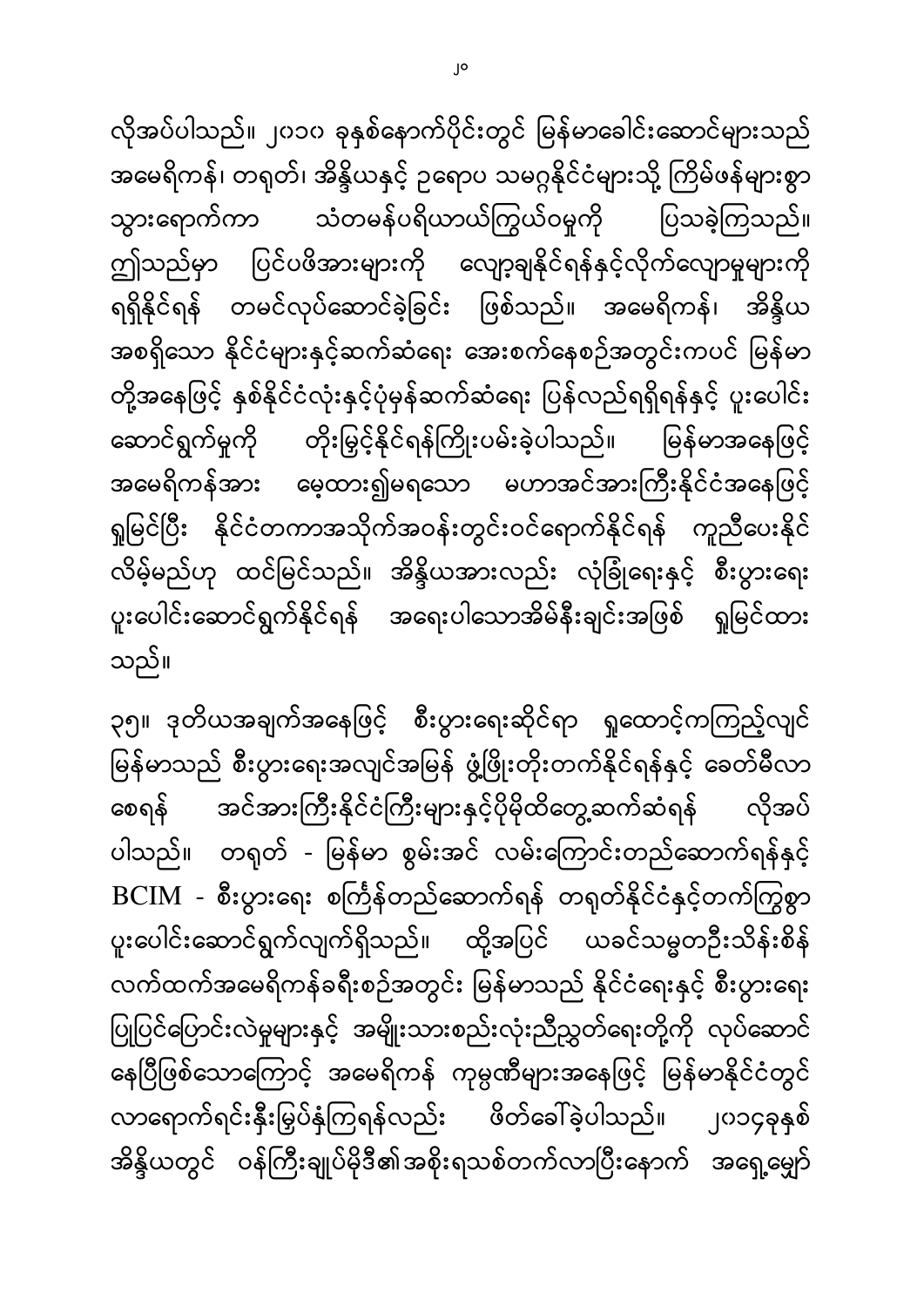လိုအပ်ပါသည်။ ၂၀၁၀ ခုနှစ်နောက်ပိုင်းတွင် မြန်မာခေါင်းဆောင်များသည် အမေရိကန်၊ တရုတ်၊ အိန္ဒိယနှင့် ဥရောပ သမဂ္ဂနိုင်ငံများသို့ ကြိမ်ဖန်များစွာ သွားရောက်ကာ သံတမန်ပရိယာယ်ကြွယ်၀မှုကို ပြသခဲ့ကြသည်။ ဤသည်မှာ ပြင်ပဖိအားများကို လျော့ချနိုင်ရန်နှင့်လိုက်လျောမှုများကို ရရှိနိုင်ရန် တမင်လုပ်ဆောင်ခဲ့ခြင်း ဖြစ်သည်။ အမေရိကန်၊ အိန္ဒိယ အစရှိသော နိုင်ငံများနှင့်ဆက်ဆံရေး အေးစက်နေစဉ်အတွင်းကပင် မြန်မာ တို့အနေဖြင့် နှစ်နိုင်ငံလုံးနှင့်ပုံမှန်ဆက်ဆံရေး ပြန်လည်ရရှိရန်နှင့် ပူးပေါင်း ဆောင်ရွက်မှုကို တိုးမြှင့်နိုင်ရန်ကြိုးပမ်းခဲ့ပါသည်။ မြန်မာအနေဖြင့် အမေရိကန်အား မေ့ထား၍မရသော မဟာအင်အားကြီးနိုင်ငံအနေဖြင့် ရှုမြင်ပြီး နိုင်ငံတကာအသိုက်အဝန်းတွင်းဝင်ရောက်နိုင်ရန် ကူညီပေးနိုင် လိမ့်မည်ဟု ထင်မြင်သည်။ အိန္ဒိယအားလည်း လုံခြုံရေးနှင့် စီးပွားရေး ပူးပေါင်းဆောင်ရွက်နိုင်ရန် အရေးပါသောအိမ်နီးချင်းအဖြစ် ရှုမြင်ထား ။

၃၅။ ဒုတိယအချက်အနေဖြင့် စီးပွားရေးဆိုင်ရာ ရှုထောင့်ကကြည့်လျင် မြန်မာသည် စီးပွားရေးအလျင်အမြန် ဖွံ့ဖြိုးတိုးတက်နိုင်ရန်နှင့် ခေတ်မီလာ ĺ စေရန် အင်အားကြီးနိုင်ငံကြီးများနှင့်ပိုမိုထိတွေ့ဆက်ဆံရန် လိုအပ် ပါသည်။ တရုတ် - မြန်မာ စွမ်းအင် လမ်းကြောင်းတည်ဆောက်ရန်နှင့် BCIM - စီးပွားရေး စင်္ကြန်တည်ဆောက်ရန် တရုတ်နိုင်ငံနှင့်တက်ကြွစွာ ပူးပေါင်းဆောင်ရွက်လျက်ရှိသည်။ ထို့အပြင် ယခင်သမ္မတဦးသိန်းစိန် လက်ထက်အမေရိကန်ခရီးစဉ်အတွင်း မြန်မာသည် နိုင်ငံရေးနှင့် စီးပွားရေး ပြုပြင်ပြောင်းလဲမှုများနှင့် အမျိုးသားစည်းလုံးညီညွှတ်ရေးတို့ကို လုပ်ဆောင် ŀ နေပြီဖြစ်သောကြောင့် အမေရိကန် ကုမ္ပဏီများအနေဖြင့် မြန်မာနိုင်ငံတွင် လာရောက်ရင်းနှီးမြှပ်နှံကြရန်လည်း ဖိတ်ခေါ်ခဲ့ပါသည်။ ၂၀၁၄ခုနှစ် အိန္ဒိယတွင် ဝန်ကြီးချုပ်မိုဒီ၏အစိုးရသစ်တက်လာပြီးနောက် အရှေ့မျှော်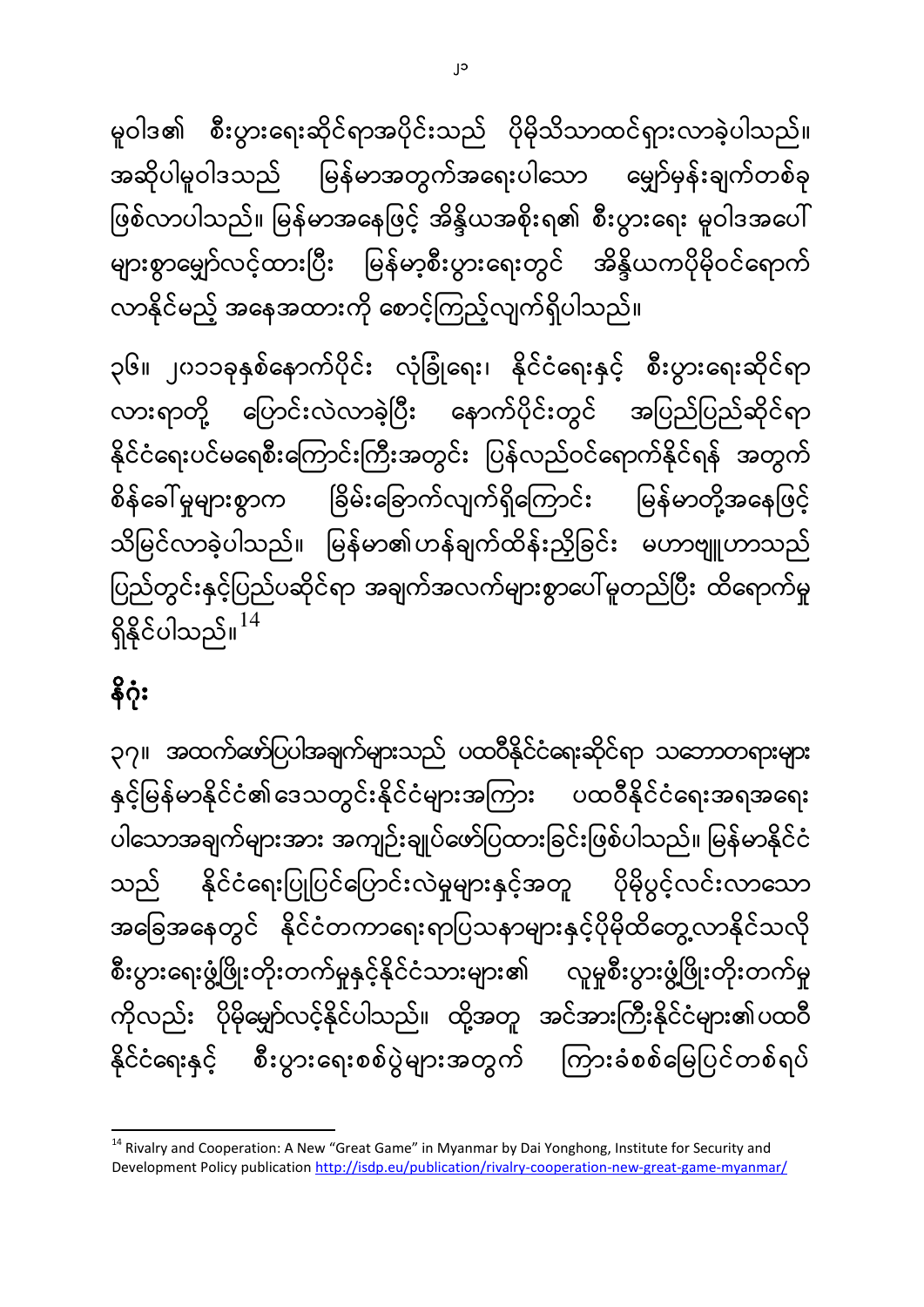**.** <sup>14</sup> Rivalry and Cooperation: A New "Great Game" in Myanmar by Dai Yonghong, Institute for Security and Development Policy publication <http://isdp.eu/publication/rivalry-cooperation-new-great-game-myanmar/>

၃၇။ အထက်ဖော်ပြပါအချက်များသည် ပထဝီနိုင်ငံရေးဆိုင်ရာ သဘောတရားများ နှင့်မြန်မာနိုင်ငံ၏ဒေသတွင်းနိုင်ငံများအကြား ပထဝီနိုင်ငံရေးအရအရေး ပါသောအချက်များအား အကျဉ်းချုပ်ဖော်ပြထားခြင်းဖြစ်ပါသည်။ မြန်မာနိုင်ငံ သည် နိုင်ငံရေးပြုပြင်ပြောင်းလဲမှုများနှင့်အတူ ပိုမိုပွင့်လင်းလာသော အခြေအနေတွင် နိုင်ငံတကာရေးရာပြသနာများနှင့်ပိုမိုထိတွေ့လာနိုင်သလို စီးပွားရေးဖွံ့ဖြိုးတိုးတက်မှုနှင့်နိုင်ငံသားများ၏ လူမှုစီးပွားဖွံ့ဖြိုးတိုးတက်မှု ကိုလည်း ပိုမိုမျှော်လင့်နိုင်ပါသည်။ ထို့အတူ အင်အားကြီးနိုင်ငံများ၏ပထဝီ နိုင်ငံရေးနှင့် စီးပွားရေးစစ်ပွဲများအတွက် ကြားခံစစ်မြေပြင်တစ်ရပ်

၃၆။ ၂၀၁၁ခုနှစ်နောက်ပိုင်း လုံခြုံရေး၊ နိုင်ငံရေးနှင့် စီးပွားရေးဆိုင်ရာ လားရာတို့ ပြောင်းလဲလာခဲ့ပြီး နောက်ပိုင်းတွင် အပြည်ပြည်ဆိုင်ရာ နိုင်ငံရေးပင်မရေစီးကြောင်းကြီးအတွင်း ပြန်လည်ဝင်ရောက်နိုင်ရန် အတွက် စိန်ခေါ် မှုများစွာက ခြိမ်းခြောက်လျက်ရှိကြောင်း မြန်မာတို့အနေဖြင့် သိမြင်လာခဲ့ပါသည်။ မြန်မာ၏ဟန်ချက်ထိန်းညှိခြင်း မဟာဗျူဟာသည် ပြည်တွင်းနှင့်ပြည်ပဆိုင်ရာ အချက်အလက်များစွာပေါ်မူတည်ပြီး ထိရောက်မှု ရှိနိုင်ပါသည်။ $^{14}$ 

ſ

နိဂုံး

မူဝါဒ၏ စီးပွားရေးဆိုင်ရာအပိုင်းသည် ပိုမိုသိသာထင်ရှားလာခဲ့ပါသည်။ အဆိုပါမူဝါဒသည် မြန်မာအတွက်အရေးပါသော မျှော်မှန်းချက်တစ်ခု ဖြစ်လာပါသည်။ မြန်မာအနေဖြင့် အိန္ဒိယအစိုးရ၏ စီးပွားရေး မူဝါဒအပေါ် များစွာမျှော်လင့်ထားပြီး မြန်မာ့စီးပွားရေးတွင် အိန္ဒိယကပိုမိုဝင်ရောက် လာနိုင်မည့် အနေအထားကို စောင့်ကြည့်လျက်ရှိပါသည်။